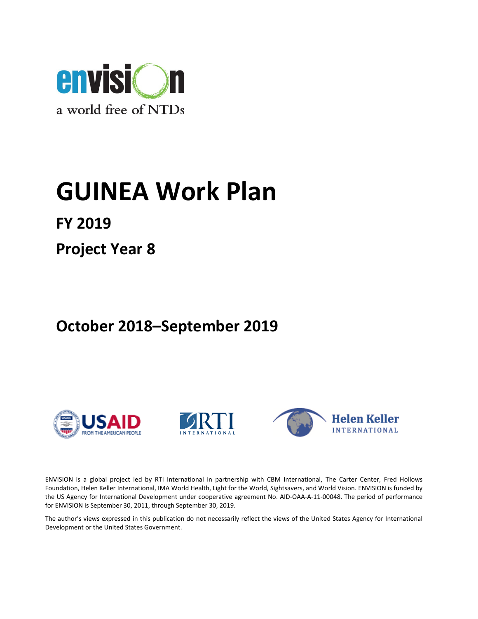

# GUINEA Work Plan

FY 2019

Project Year 8

## October 2018–September 2019







ENVISION is a global project led by RTI International in partnership with CBM International, The Carter Center, Fred Hollows Foundation, Helen Keller International, IMA World Health, Light for the World, Sightsavers, and World Vision. ENVISION is funded by the US Agency for International Development under cooperative agreement No. AID-OAA-A-11-00048. The period of performance for ENVISION is September 30, 2011, through September 30, 2019.

The author's views expressed in this publication do not necessarily reflect the views of the United States Agency for International Development or the United States Government.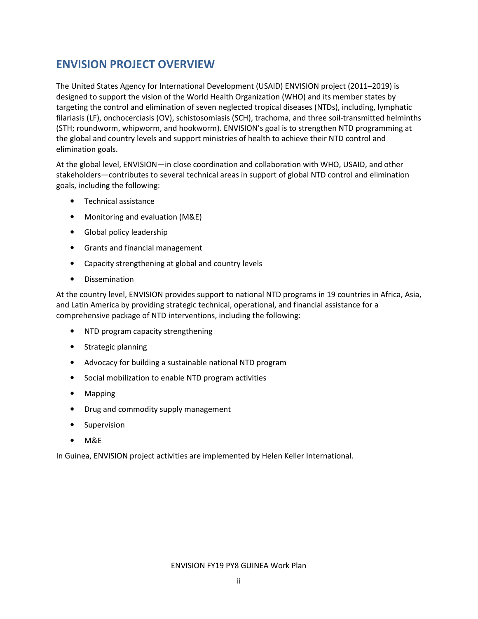## ENVISION PROJECT OVERVIEW

The United States Agency for International Development (USAID) ENVISION project (2011–2019) is designed to support the vision of the World Health Organization (WHO) and its member states by targeting the control and elimination of seven neglected tropical diseases (NTDs), including, lymphatic filariasis (LF), onchocerciasis (OV), schistosomiasis (SCH), trachoma, and three soil-transmitted helminths (STH; roundworm, whipworm, and hookworm). ENVISION's goal is to strengthen NTD programming at the global and country levels and support ministries of health to achieve their NTD control and elimination goals.

At the global level, ENVISION—in close coordination and collaboration with WHO, USAID, and other stakeholders—contributes to several technical areas in support of global NTD control and elimination goals, including the following:

- Technical assistance
- Monitoring and evaluation (M&E)
- Global policy leadership
- Grants and financial management
- Capacity strengthening at global and country levels
- Dissemination

At the country level, ENVISION provides support to national NTD programs in 19 countries in Africa, Asia, and Latin America by providing strategic technical, operational, and financial assistance for a comprehensive package of NTD interventions, including the following:

- NTD program capacity strengthening
- Strategic planning
- Advocacy for building a sustainable national NTD program
- Social mobilization to enable NTD program activities
- Mapping
- Drug and commodity supply management
- Supervision
- M&E

In Guinea, ENVISION project activities are implemented by Helen Keller International.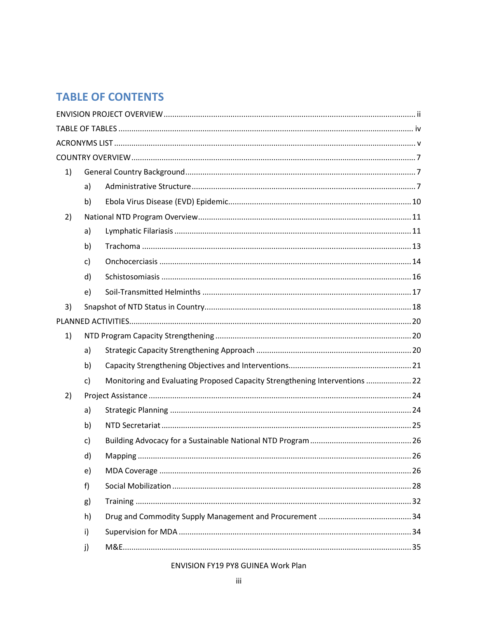## **TABLE OF CONTENTS**

| 1) |              |                                                                             |  |
|----|--------------|-----------------------------------------------------------------------------|--|
|    | a)           |                                                                             |  |
|    | b)           |                                                                             |  |
| 2) |              |                                                                             |  |
|    | a)           |                                                                             |  |
|    | b)           |                                                                             |  |
|    | c)           |                                                                             |  |
|    | d)           |                                                                             |  |
|    | e)           |                                                                             |  |
| 3) |              |                                                                             |  |
|    |              |                                                                             |  |
| 1) |              |                                                                             |  |
|    | a)           |                                                                             |  |
|    | b)           |                                                                             |  |
|    | $\mathsf{C}$ | Monitoring and Evaluating Proposed Capacity Strengthening Interventions  22 |  |
| 2) |              |                                                                             |  |
|    | a)           |                                                                             |  |
|    | b)           |                                                                             |  |
|    | c)           |                                                                             |  |
|    | d)           | . 26                                                                        |  |
|    | e)           |                                                                             |  |
|    | f)           |                                                                             |  |
|    | g)           |                                                                             |  |
|    | h)           |                                                                             |  |
|    | i)           |                                                                             |  |
|    | j)           |                                                                             |  |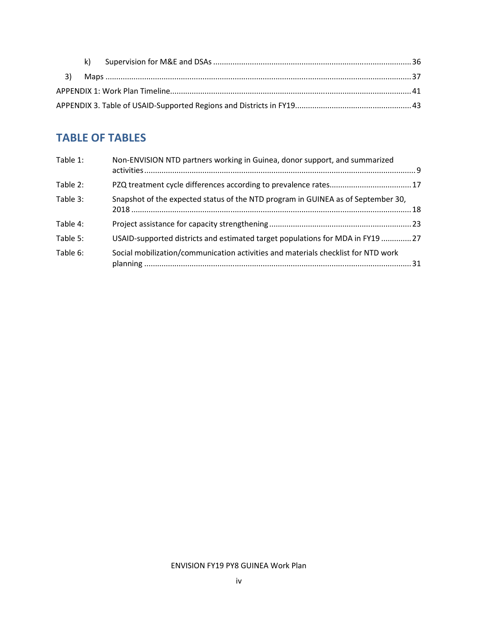## TABLE OF TABLES

| Table 1: | Non-ENVISION NTD partners working in Guinea, donor support, and summarized        |  |
|----------|-----------------------------------------------------------------------------------|--|
| Table 2: |                                                                                   |  |
| Table 3: | Snapshot of the expected status of the NTD program in GUINEA as of September 30,  |  |
| Table 4: |                                                                                   |  |
| Table 5: | USAID-supported districts and estimated target populations for MDA in FY19 27     |  |
| Table 6: | Social mobilization/communication activities and materials checklist for NTD work |  |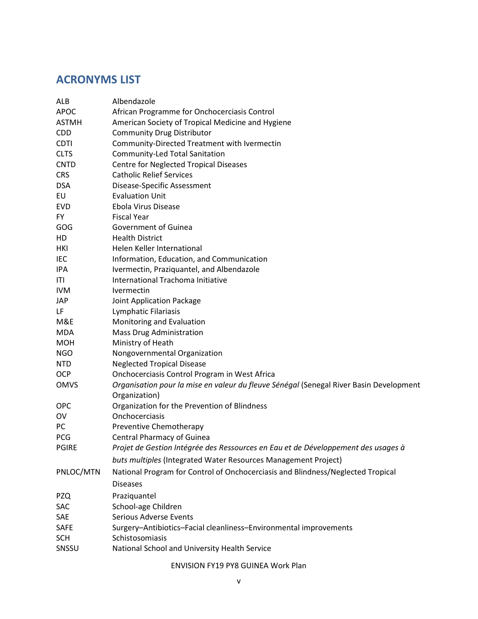## ACRONYMS LIST

| ALB          | Albendazole                                                                            |
|--------------|----------------------------------------------------------------------------------------|
| <b>APOC</b>  | African Programme for Onchocerciasis Control                                           |
| <b>ASTMH</b> | American Society of Tropical Medicine and Hygiene                                      |
| <b>CDD</b>   | <b>Community Drug Distributor</b>                                                      |
| <b>CDTI</b>  | Community-Directed Treatment with Ivermectin                                           |
| <b>CLTS</b>  | Community-Led Total Sanitation                                                         |
| <b>CNTD</b>  | <b>Centre for Neglected Tropical Diseases</b>                                          |
| <b>CRS</b>   | <b>Catholic Relief Services</b>                                                        |
| <b>DSA</b>   | Disease-Specific Assessment                                                            |
| EU           | <b>Evaluation Unit</b>                                                                 |
| <b>EVD</b>   | Ebola Virus Disease                                                                    |
| <b>FY</b>    | <b>Fiscal Year</b>                                                                     |
| GOG          | Government of Guinea                                                                   |
| HD           | <b>Health District</b>                                                                 |
| HKI          | Helen Keller International                                                             |
| IEC          | Information, Education, and Communication                                              |
| IPA          | Ivermectin, Praziquantel, and Albendazole                                              |
| ITI          | International Trachoma Initiative                                                      |
| <b>IVM</b>   | Ivermectin                                                                             |
| <b>JAP</b>   | Joint Application Package                                                              |
| LF           | Lymphatic Filariasis                                                                   |
| M&E          | Monitoring and Evaluation                                                              |
| <b>MDA</b>   | Mass Drug Administration                                                               |
| <b>MOH</b>   | Ministry of Heath                                                                      |
| <b>NGO</b>   | Nongovernmental Organization                                                           |
| <b>NTD</b>   | <b>Neglected Tropical Disease</b>                                                      |
| <b>OCP</b>   | Onchocerciasis Control Program in West Africa                                          |
| <b>OMVS</b>  | Organisation pour la mise en valeur du fleuve Sénégal (Senegal River Basin Development |
|              | Organization)                                                                          |
| <b>OPC</b>   | Organization for the Prevention of Blindness                                           |
| OV           | Onchocerciasis                                                                         |
| PC           | Preventive Chemotherapy                                                                |
| PCG          | <b>Central Pharmacy of Guinea</b>                                                      |
| <b>PGIRE</b> | Projet de Gestion Intégrée des Ressources en Eau et de Développement des usages à      |
|              | buts multiples (Integrated Water Resources Management Project)                         |
| PNLOC/MTN    | National Program for Control of Onchocerciasis and Blindness/Neglected Tropical        |
|              | <b>Diseases</b>                                                                        |
| <b>PZQ</b>   | Praziquantel                                                                           |
| SAC          | School-age Children                                                                    |
| SAE          | <b>Serious Adverse Events</b>                                                          |
| SAFE         | Surgery-Antibiotics-Facial cleanliness-Environmental improvements                      |
| <b>SCH</b>   | Schistosomiasis                                                                        |
| SNSSU        | National School and University Health Service                                          |
|              |                                                                                        |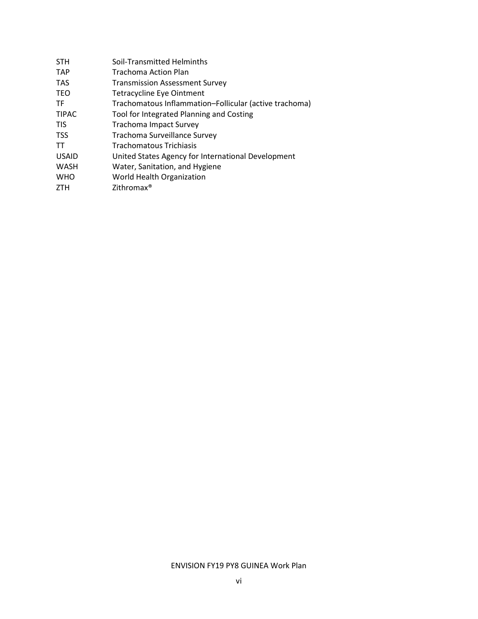| <b>STH</b>   | Soil-Transmitted Helminths                             |
|--------------|--------------------------------------------------------|
| <b>TAP</b>   | Trachoma Action Plan                                   |
| <b>TAS</b>   | <b>Transmission Assessment Survey</b>                  |
| <b>TEO</b>   | <b>Tetracycline Eye Ointment</b>                       |
| TF           | Trachomatous Inflammation-Follicular (active trachoma) |
| <b>TIPAC</b> | Tool for Integrated Planning and Costing               |
| <b>TIS</b>   | <b>Trachoma Impact Survey</b>                          |
| <b>TSS</b>   | Trachoma Surveillance Survey                           |
| TT           | Trachomatous Trichiasis                                |
| <b>USAID</b> | United States Agency for International Development     |
| <b>WASH</b>  | Water, Sanitation, and Hygiene                         |
| <b>WHO</b>   | World Health Organization                              |
| <b>ZTH</b>   | Zithromax <sup>®</sup>                                 |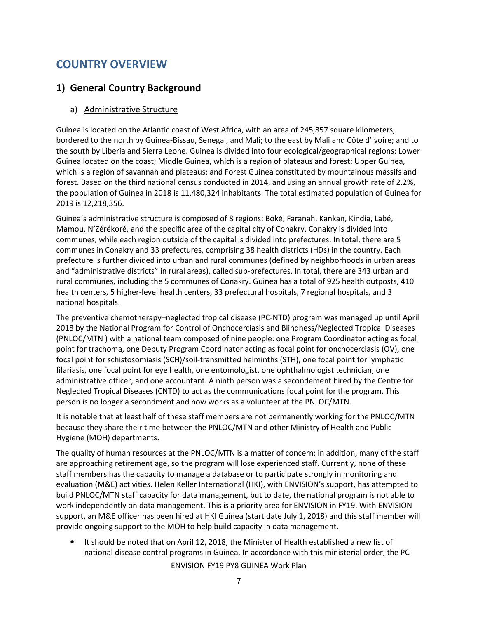## COUNTRY OVERVIEW

## 1) General Country Background

#### a) Administrative Structure

Guinea is located on the Atlantic coast of West Africa, with an area of 245,857 square kilometers, bordered to the north by Guinea-Bissau, Senegal, and Mali; to the east by Mali and Côte d'Ivoire; and to the south by Liberia and Sierra Leone. Guinea is divided into four ecological/geographical regions: Lower Guinea located on the coast; Middle Guinea, which is a region of plateaus and forest; Upper Guinea, which is a region of savannah and plateaus; and Forest Guinea constituted by mountainous massifs and forest. Based on the third national census conducted in 2014, and using an annual growth rate of 2.2%, the population of Guinea in 2018 is 11,480,324 inhabitants. The total estimated population of Guinea for 2019 is 12,218,356.

Guinea's administrative structure is composed of 8 regions: Boké, Faranah, Kankan, Kindia, Labé, Mamou, N'Zérékoré, and the specific area of the capital city of Conakry. Conakry is divided into communes, while each region outside of the capital is divided into prefectures. In total, there are 5 communes in Conakry and 33 prefectures, comprising 38 health districts (HDs) in the country. Each prefecture is further divided into urban and rural communes (defined by neighborhoods in urban areas and "administrative districts" in rural areas), called sub-prefectures. In total, there are 343 urban and rural communes, including the 5 communes of Conakry. Guinea has a total of 925 health outposts, 410 health centers, 5 higher-level health centers, 33 prefectural hospitals, 7 regional hospitals, and 3 national hospitals.

The preventive chemotherapy–neglected tropical disease (PC-NTD) program was managed up until April 2018 by the National Program for Control of Onchocerciasis and Blindness/Neglected Tropical Diseases (PNLOC/MTN ) with a national team composed of nine people: one Program Coordinator acting as focal point for trachoma, one Deputy Program Coordinator acting as focal point for onchocerciasis (OV), one focal point for schistosomiasis (SCH)/soil-transmitted helminths (STH), one focal point for lymphatic filariasis, one focal point for eye health, one entomologist, one ophthalmologist technician, one administrative officer, and one accountant. A ninth person was a secondement hired by the Centre for Neglected Tropical Diseases (CNTD) to act as the communications focal point for the program. This person is no longer a secondment and now works as a volunteer at the PNLOC/MTN.

It is notable that at least half of these staff members are not permanently working for the PNLOC/MTN because they share their time between the PNLOC/MTN and other Ministry of Health and Public Hygiene (MOH) departments.

The quality of human resources at the PNLOC/MTN is a matter of concern; in addition, many of the staff are approaching retirement age, so the program will lose experienced staff. Currently, none of these staff members has the capacity to manage a database or to participate strongly in monitoring and evaluation (M&E) activities. Helen Keller International (HKI), with ENVISION's support, has attempted to build PNLOC/MTN staff capacity for data management, but to date, the national program is not able to work independently on data management. This is a priority area for ENVISION in FY19. With ENVISION support, an M&E officer has been hired at HKI Guinea (start date July 1, 2018) and this staff member will provide ongoing support to the MOH to help build capacity in data management.

• It should be noted that on April 12, 2018, the Minister of Health established a new list of national disease control programs in Guinea. In accordance with this ministerial order, the PC-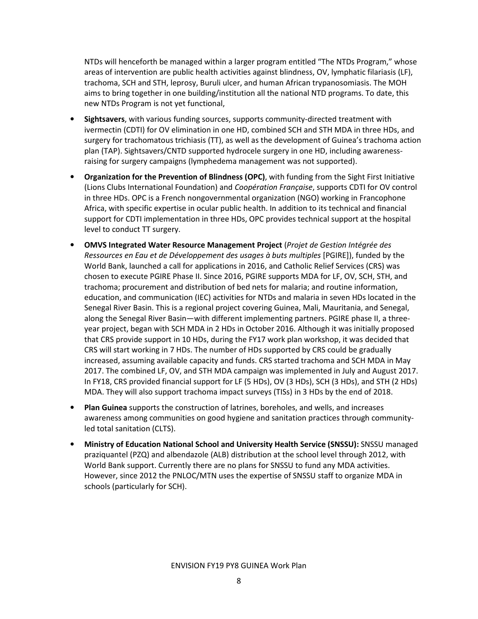NTDs will henceforth be managed within a larger program entitled "The NTDs Program," whose areas of intervention are public health activities against blindness, OV, lymphatic filariasis (LF), trachoma, SCH and STH, leprosy, Buruli ulcer, and human African trypanosomiasis. The MOH aims to bring together in one building/institution all the national NTD programs. To date, this new NTDs Program is not yet functional,

- **Sightsavers,** with various funding sources, supports community-directed treatment with ivermectin (CDTI) for OV elimination in one HD, combined SCH and STH MDA in three HDs, and surgery for trachomatous trichiasis (TT), as well as the development of Guinea's trachoma action plan (TAP). Sightsavers/CNTD supported hydrocele surgery in one HD, including awarenessraising for surgery campaigns (lymphedema management was not supported).
- Organization for the Prevention of Blindness (OPC), with funding from the Sight First Initiative (Lions Clubs International Foundation) and Coopération Française, supports CDTI for OV control in three HDs. OPC is a French nongovernmental organization (NGO) working in Francophone Africa, with specific expertise in ocular public health. In addition to its technical and financial support for CDTI implementation in three HDs, OPC provides technical support at the hospital level to conduct TT surgery.
- OMVS Integrated Water Resource Management Project (Projet de Gestion Intégrée des Ressources en Eau et de Développement des usages à buts multiples [PGIRE]), funded by the World Bank, launched a call for applications in 2016, and Catholic Relief Services (CRS) was chosen to execute PGIRE Phase II. Since 2016, PGIRE supports MDA for LF, OV, SCH, STH, and trachoma; procurement and distribution of bed nets for malaria; and routine information, education, and communication (IEC) activities for NTDs and malaria in seven HDs located in the Senegal River Basin. This is a regional project covering Guinea, Mali, Mauritania, and Senegal, along the Senegal River Basin—with different implementing partners. PGIRE phase II, a threeyear project, began with SCH MDA in 2 HDs in October 2016. Although it was initially proposed that CRS provide support in 10 HDs, during the FY17 work plan workshop, it was decided that CRS will start working in 7 HDs. The number of HDs supported by CRS could be gradually increased, assuming available capacity and funds. CRS started trachoma and SCH MDA in May 2017. The combined LF, OV, and STH MDA campaign was implemented in July and August 2017. In FY18, CRS provided financial support for LF (5 HDs), OV (3 HDs), SCH (3 HDs), and STH (2 HDs) MDA. They will also support trachoma impact surveys (TISs) in 3 HDs by the end of 2018.
- Plan Guinea supports the construction of latrines, boreholes, and wells, and increases awareness among communities on good hygiene and sanitation practices through communityled total sanitation (CLTS).
- Ministry of Education National School and University Health Service (SNSSU): SNSSU managed praziquantel (PZQ) and albendazole (ALB) distribution at the school level through 2012, with World Bank support. Currently there are no plans for SNSSU to fund any MDA activities. However, since 2012 the PNLOC/MTN uses the expertise of SNSSU staff to organize MDA in schools (particularly for SCH).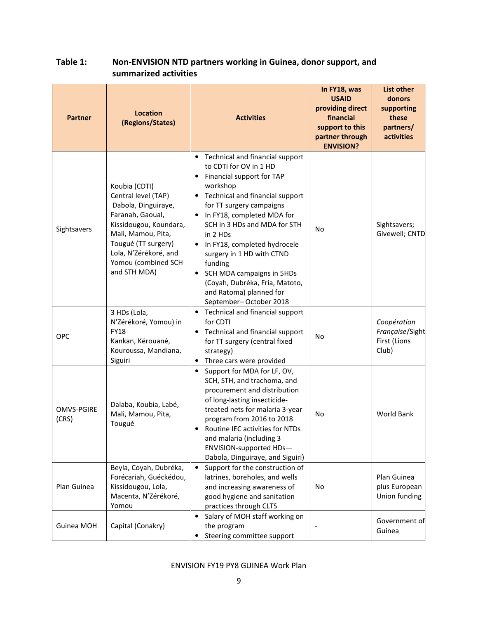| <b>Partner</b>             | <b>Location</b><br>(Regions/States)                                                                                                                                                                                    | <b>Activities</b>                                                                                                                                                                                                                                                                                                                                                                                                                                                       | In FY18, was<br><b>USAID</b><br>providing direct<br>financial<br>support to this<br>partner through<br><b>ENVISION?</b> | <b>List other</b><br>donors<br>supporting<br>these<br>partners/<br>activities |
|----------------------------|------------------------------------------------------------------------------------------------------------------------------------------------------------------------------------------------------------------------|-------------------------------------------------------------------------------------------------------------------------------------------------------------------------------------------------------------------------------------------------------------------------------------------------------------------------------------------------------------------------------------------------------------------------------------------------------------------------|-------------------------------------------------------------------------------------------------------------------------|-------------------------------------------------------------------------------|
| Sightsavers                | Koubia (CDTI)<br>Central level (TAP)<br>Dabola, Dinguiraye,<br>Faranah, Gaoual,<br>Kissidougou, Koundara,<br>Mali, Mamou, Pita,<br>Tougué (TT surgery)<br>Lola, N'Zérékoré, and<br>Yomou (combined SCH<br>and STH MDA) | • Technical and financial support<br>to CDTI for OV in 1 HD<br>Financial support for TAP<br>$\bullet$<br>workshop<br>Technical and financial support<br>for TT surgery campaigns<br>In FY18, completed MDA for<br>$\bullet$<br>SCH in 3 HDs and MDA for STH<br>in 2 HDs<br>• In FY18, completed hydrocele<br>surgery in 1 HD with CTND<br>funding<br>• SCH MDA campaigns in 5HDs<br>(Coyah, Dubréka, Fria, Matoto,<br>and Ratoma) planned for<br>September-October 2018 | No                                                                                                                      | Sightsavers;<br>Givewell; CNTD                                                |
| OPC                        | 3 HDs (Lola,<br>N'Zérékoré, Yomou) in<br><b>FY18</b><br>Kankan, Kérouané,<br>Kouroussa, Mandiana,<br>Siguiri                                                                                                           | • Technical and financial support<br>for CDTI<br>Technical and financial support<br>for TT surgery (central fixed<br>strategy)<br>Three cars were provided<br>$\bullet$                                                                                                                                                                                                                                                                                                 | <b>No</b>                                                                                                               | Coopération<br>Française/Sight<br>First (Lions<br>Club)                       |
| <b>OMVS-PGIRE</b><br>(CRS) | Dalaba, Koubia, Labé,<br>Mali, Mamou, Pita,<br>Tougué                                                                                                                                                                  | Support for MDA for LF, OV,<br>$\bullet$<br>SCH, STH, and trachoma, and<br>procurement and distribution<br>of long-lasting insecticide-<br>treated nets for malaria 3-year<br>program from 2016 to 2018<br>Routine IEC activities for NTDs<br>$\bullet$<br>and malaria (including 3<br>ENVISION-supported HDs-<br>Dabola, Dinguiraye, and Siguiri)                                                                                                                      | No                                                                                                                      | World Bank                                                                    |
| Plan Guinea                | Beyla, Coyah, Dubréka,<br>Forécariah, Guéckédou,<br>Kissidougou, Lola,<br>Macenta, N'Zérékoré,<br>Yomou                                                                                                                | Support for the construction of<br>latrines, boreholes, and wells<br>and increasing awareness of<br>good hygiene and sanitation<br>practices through CLTS                                                                                                                                                                                                                                                                                                               | No                                                                                                                      | Plan Guinea<br>plus European<br>Union funding                                 |
| Guinea MOH                 | Capital (Conakry)                                                                                                                                                                                                      | Salary of MOH staff working on<br>$\bullet$<br>the program<br>Steering committee support                                                                                                                                                                                                                                                                                                                                                                                |                                                                                                                         | Government of<br>Guinea                                                       |

## Table 1: Non-ENVISION NTD partners working in Guinea, donor support, and summarized activities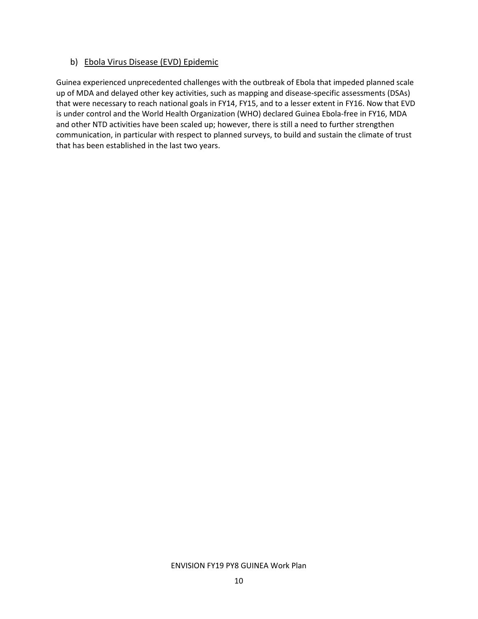#### b) Ebola Virus Disease (EVD) Epidemic

Guinea experienced unprecedented challenges with the outbreak of Ebola that impeded planned scale up of MDA and delayed other key activities, such as mapping and disease-specific assessments (DSAs) that were necessary to reach national goals in FY14, FY15, and to a lesser extent in FY16. Now that EVD is under control and the World Health Organization (WHO) declared Guinea Ebola-free in FY16, MDA and other NTD activities have been scaled up; however, there is still a need to further strengthen communication, in particular with respect to planned surveys, to build and sustain the climate of trust that has been established in the last two years.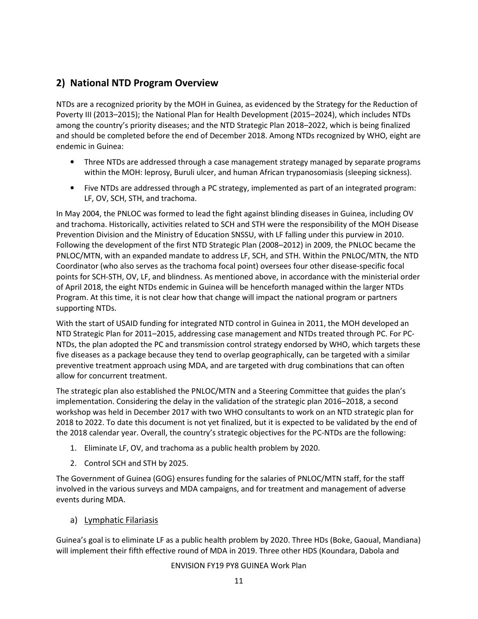## 2) National NTD Program Overview

NTDs are a recognized priority by the MOH in Guinea, as evidenced by the Strategy for the Reduction of Poverty III (2013–2015); the National Plan for Health Development (2015–2024), which includes NTDs among the country's priority diseases; and the NTD Strategic Plan 2018–2022, which is being finalized and should be completed before the end of December 2018. Among NTDs recognized by WHO, eight are endemic in Guinea:

- Three NTDs are addressed through a case management strategy managed by separate programs within the MOH: leprosy, Buruli ulcer, and human African trypanosomiasis (sleeping sickness).
- Five NTDs are addressed through a PC strategy, implemented as part of an integrated program: LF, OV, SCH, STH, and trachoma.

In May 2004, the PNLOC was formed to lead the fight against blinding diseases in Guinea, including OV and trachoma. Historically, activities related to SCH and STH were the responsibility of the MOH Disease Prevention Division and the Ministry of Education SNSSU, with LF falling under this purview in 2010. Following the development of the first NTD Strategic Plan (2008–2012) in 2009, the PNLOC became the PNLOC/MTN, with an expanded mandate to address LF, SCH, and STH. Within the PNLOC/MTN, the NTD Coordinator (who also serves as the trachoma focal point) oversees four other disease-specific focal points for SCH-STH, OV, LF, and blindness. As mentioned above, in accordance with the ministerial order of April 2018, the eight NTDs endemic in Guinea will be henceforth managed within the larger NTDs Program. At this time, it is not clear how that change will impact the national program or partners supporting NTDs.

With the start of USAID funding for integrated NTD control in Guinea in 2011, the MOH developed an NTD Strategic Plan for 2011–2015, addressing case management and NTDs treated through PC. For PC-NTDs, the plan adopted the PC and transmission control strategy endorsed by WHO, which targets these five diseases as a package because they tend to overlap geographically, can be targeted with a similar preventive treatment approach using MDA, and are targeted with drug combinations that can often allow for concurrent treatment.

The strategic plan also established the PNLOC/MTN and a Steering Committee that guides the plan's implementation. Considering the delay in the validation of the strategic plan 2016–2018, a second workshop was held in December 2017 with two WHO consultants to work on an NTD strategic plan for 2018 to 2022. To date this document is not yet finalized, but it is expected to be validated by the end of the 2018 calendar year. Overall, the country's strategic objectives for the PC-NTDs are the following:

- 1. Eliminate LF, OV, and trachoma as a public health problem by 2020.
- 2. Control SCH and STH by 2025.

The Government of Guinea (GOG) ensures funding for the salaries of PNLOC/MTN staff, for the staff involved in the various surveys and MDA campaigns, and for treatment and management of adverse events during MDA.

#### a) Lymphatic Filariasis

Guinea's goal is to eliminate LF as a public health problem by 2020. Three HDs (Boke, Gaoual, Mandiana) will implement their fifth effective round of MDA in 2019. Three other HDS (Koundara, Dabola and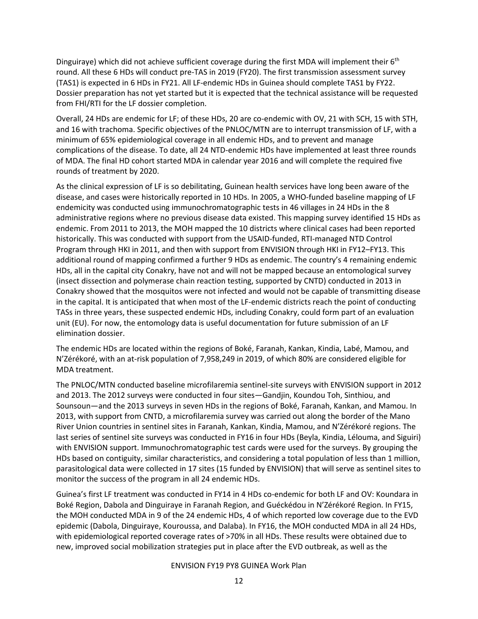Dinguiraye) which did not achieve sufficient coverage during the first MDA will implement their  $6<sup>th</sup>$ round. All these 6 HDs will conduct pre-TAS in 2019 (FY20). The first transmission assessment survey (TAS1) is expected in 6 HDs in FY21. All LF-endemic HDs in Guinea should complete TAS1 by FY22. Dossier preparation has not yet started but it is expected that the technical assistance will be requested from FHI/RTI for the LF dossier completion.

Overall, 24 HDs are endemic for LF; of these HDs, 20 are co-endemic with OV, 21 with SCH, 15 with STH, and 16 with trachoma. Specific objectives of the PNLOC/MTN are to interrupt transmission of LF, with a minimum of 65% epidemiological coverage in all endemic HDs, and to prevent and manage complications of the disease. To date, all 24 NTD-endemic HDs have implemented at least three rounds of MDA. The final HD cohort started MDA in calendar year 2016 and will complete the required five rounds of treatment by 2020.

As the clinical expression of LF is so debilitating, Guinean health services have long been aware of the disease, and cases were historically reported in 10 HDs. In 2005, a WHO-funded baseline mapping of LF endemicity was conducted using immunochromatographic tests in 46 villages in 24 HDs in the 8 administrative regions where no previous disease data existed. This mapping survey identified 15 HDs as endemic. From 2011 to 2013, the MOH mapped the 10 districts where clinical cases had been reported historically. This was conducted with support from the USAID-funded, RTI-managed NTD Control Program through HKI in 2011, and then with support from ENVISION through HKI in FY12–FY13. This additional round of mapping confirmed a further 9 HDs as endemic. The country's 4 remaining endemic HDs, all in the capital city Conakry, have not and will not be mapped because an entomological survey (insect dissection and polymerase chain reaction testing, supported by CNTD) conducted in 2013 in Conakry showed that the mosquitos were not infected and would not be capable of transmitting disease in the capital. It is anticipated that when most of the LF-endemic districts reach the point of conducting TASs in three years, these suspected endemic HDs, including Conakry, could form part of an evaluation unit (EU). For now, the entomology data is useful documentation for future submission of an LF elimination dossier.

The endemic HDs are located within the regions of Boké, Faranah, Kankan, Kindia, Labé, Mamou, and N'Zérékoré, with an at-risk population of 7,958,249 in 2019, of which 80% are considered eligible for MDA treatment.

The PNLOC/MTN conducted baseline microfilaremia sentinel-site surveys with ENVISION support in 2012 and 2013. The 2012 surveys were conducted in four sites—Gandjin, Koundou Toh, Sinthiou, and Sounsoun—and the 2013 surveys in seven HDs in the regions of Boké, Faranah, Kankan, and Mamou. In 2013, with support from CNTD, a microfilaremia survey was carried out along the border of the Mano River Union countries in sentinel sites in Faranah, Kankan, Kindia, Mamou, and N'Zérékoré regions. The last series of sentinel site surveys was conducted in FY16 in four HDs (Beyla, Kindia, Lélouma, and Siguiri) with ENVISION support. Immunochromatographic test cards were used for the surveys. By grouping the HDs based on contiguity, similar characteristics, and considering a total population of less than 1 million, parasitological data were collected in 17 sites (15 funded by ENVISION) that will serve as sentinel sites to monitor the success of the program in all 24 endemic HDs.

Guinea's first LF treatment was conducted in FY14 in 4 HDs co-endemic for both LF and OV: Koundara in Boké Region, Dabola and Dinguiraye in Faranah Region, and Guéckédou in N'Zérékoré Region. In FY15, the MOH conducted MDA in 9 of the 24 endemic HDs, 4 of which reported low coverage due to the EVD epidemic (Dabola, Dinguiraye, Kouroussa, and Dalaba). In FY16, the MOH conducted MDA in all 24 HDs, with epidemiological reported coverage rates of >70% in all HDs. These results were obtained due to new, improved social mobilization strategies put in place after the EVD outbreak, as well as the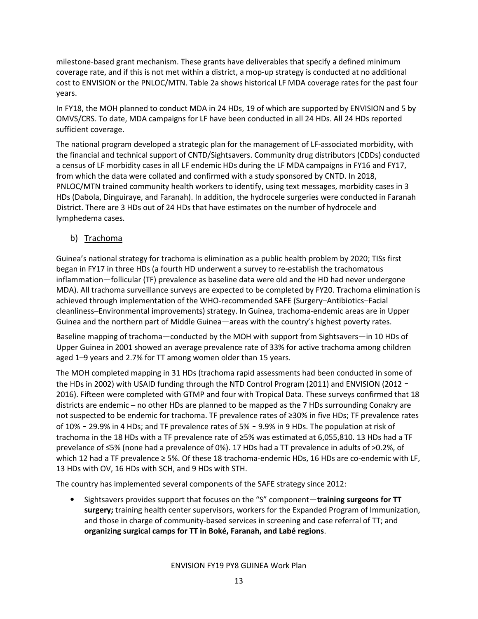milestone-based grant mechanism. These grants have deliverables that specify a defined minimum coverage rate, and if this is not met within a district, a mop-up strategy is conducted at no additional cost to ENVISION or the PNLOC/MTN. Table 2a shows historical LF MDA coverage rates for the past four years.

In FY18, the MOH planned to conduct MDA in 24 HDs, 19 of which are supported by ENVISION and 5 by OMVS/CRS. To date, MDA campaigns for LF have been conducted in all 24 HDs. All 24 HDs reported sufficient coverage.

The national program developed a strategic plan for the management of LF-associated morbidity, with the financial and technical support of CNTD/Sightsavers. Community drug distributors (CDDs) conducted a census of LF morbidity cases in all LF endemic HDs during the LF MDA campaigns in FY16 and FY17, from which the data were collated and confirmed with a study sponsored by CNTD. In 2018, PNLOC/MTN trained community health workers to identify, using text messages, morbidity cases in 3 HDs (Dabola, Dinguiraye, and Faranah). In addition, the hydrocele surgeries were conducted in Faranah District. There are 3 HDs out of 24 HDs that have estimates on the number of hydrocele and lymphedema cases.

b) Trachoma

Guinea's national strategy for trachoma is elimination as a public health problem by 2020; TISs first began in FY17 in three HDs (a fourth HD underwent a survey to re-establish the trachomatous inflammation—follicular (TF) prevalence as baseline data were old and the HD had never undergone MDA). All trachoma surveillance surveys are expected to be completed by FY20. Trachoma elimination is achieved through implementation of the WHO-recommended SAFE (Surgery–Antibiotics–Facial cleanliness–Environmental improvements) strategy. In Guinea, trachoma-endemic areas are in Upper Guinea and the northern part of Middle Guinea—areas with the country's highest poverty rates.

Baseline mapping of trachoma—conducted by the MOH with support from Sightsavers—in 10 HDs of Upper Guinea in 2001 showed an average prevalence rate of 33% for active trachoma among children aged 1–9 years and 2.7% for TT among women older than 15 years.

The MOH completed mapping in 31 HDs (trachoma rapid assessments had been conducted in some of the HDs in 2002) with USAID funding through the NTD Control Program (2011) and ENVISION (2012 -2016). Fifteen were completed with GTMP and four with Tropical Data. These surveys confirmed that 18 districts are endemic – no other HDs are planned to be mapped as the 7 HDs surrounding Conakry are not suspected to be endemic for trachoma. TF prevalence rates of ≥30% in five HDs; TF prevalence rates of 10%–29.9% in 4 HDs; and TF prevalence rates of 5%–9.9% in 9 HDs. The population at risk of trachoma in the 18 HDs with a TF prevalence rate of ≥5% was estimated at 6,055,810. 13 HDs had a TF prevelance of ≤5% (none had a prevalence of 0%). 17 HDs had a TT prevalence in adults of >0.2%, of which 12 had a TF prevalence ≥ 5%. Of these 18 trachoma-endemic HDs, 16 HDs are co-endemic with LF, 13 HDs with OV, 16 HDs with SCH, and 9 HDs with STH.

The country has implemented several components of the SAFE strategy since 2012:

• Sightsavers provides support that focuses on the "S" component—training surgeons for TT surgery; training health center supervisors, workers for the Expanded Program of Immunization, and those in charge of community-based services in screening and case referral of TT; and organizing surgical camps for TT in Boké, Faranah, and Labé regions.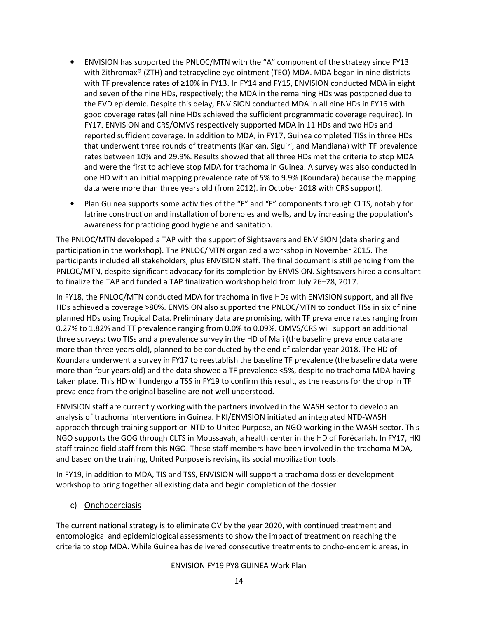- ENVISION has supported the PNLOC/MTN with the "A" component of the strategy since FY13 with Zithromax® (ZTH) and tetracycline eye ointment (TEO) MDA. MDA began in nine districts with TF prevalence rates of ≥10% in FY13. In FY14 and FY15, ENVISION conducted MDA in eight and seven of the nine HDs, respectively; the MDA in the remaining HDs was postponed due to the EVD epidemic. Despite this delay, ENVISION conducted MDA in all nine HDs in FY16 with good coverage rates (all nine HDs achieved the sufficient programmatic coverage required). In FY17, ENVISION and CRS/OMVS respectively supported MDA in 11 HDs and two HDs and reported sufficient coverage. In addition to MDA, in FY17, Guinea completed TISs in three HDs that underwent three rounds of treatments (Kankan, Siguiri, and Mandiana) with TF prevalence rates between 10% and 29.9%. Results showed that all three HDs met the criteria to stop MDA and were the first to achieve stop MDA for trachoma in Guinea. A survey was also conducted in one HD with an initial mapping prevalence rate of 5% to 9.9% (Koundara) because the mapping data were more than three years old (from 2012). in October 2018 with CRS support).
- Plan Guinea supports some activities of the "F" and "E" components through CLTS, notably for latrine construction and installation of boreholes and wells, and by increasing the population's awareness for practicing good hygiene and sanitation.

The PNLOC/MTN developed a TAP with the support of Sightsavers and ENVISION (data sharing and participation in the workshop). The PNLOC/MTN organized a workshop in November 2015. The participants included all stakeholders, plus ENVISION staff. The final document is still pending from the PNLOC/MTN, despite significant advocacy for its completion by ENVISION. Sightsavers hired a consultant to finalize the TAP and funded a TAP finalization workshop held from July 26–28, 2017.

In FY18, the PNLOC/MTN conducted MDA for trachoma in five HDs with ENVISION support, and all five HDs achieved a coverage >80%. ENVISION also supported the PNLOC/MTN to conduct TISs in six of nine planned HDs using Tropical Data. Preliminary data are promising, with TF prevalence rates ranging from 0.27% to 1.82% and TT prevalence ranging from 0.0% to 0.09%. OMVS/CRS will support an additional three surveys: two TISs and a prevalence survey in the HD of Mali (the baseline prevalence data are more than three years old), planned to be conducted by the end of calendar year 2018. The HD of Koundara underwent a survey in FY17 to reestablish the baseline TF prevalence (the baseline data were more than four years old) and the data showed a TF prevalence <5%, despite no trachoma MDA having taken place. This HD will undergo a TSS in FY19 to confirm this result, as the reasons for the drop in TF prevalence from the original baseline are not well understood.

ENVISION staff are currently working with the partners involved in the WASH sector to develop an analysis of trachoma interventions in Guinea. HKI/ENVISION initiated an integrated NTD-WASH approach through training support on NTD to United Purpose, an NGO working in the WASH sector. This NGO supports the GOG through CLTS in Moussayah, a health center in the HD of Forécariah. In FY17, HKI staff trained field staff from this NGO. These staff members have been involved in the trachoma MDA, and based on the training, United Purpose is revising its social mobilization tools.

In FY19, in addition to MDA, TIS and TSS, ENVISION will support a trachoma dossier development workshop to bring together all existing data and begin completion of the dossier.

c) Onchocerciasis

The current national strategy is to eliminate OV by the year 2020, with continued treatment and entomological and epidemiological assessments to show the impact of treatment on reaching the criteria to stop MDA. While Guinea has delivered consecutive treatments to oncho-endemic areas, in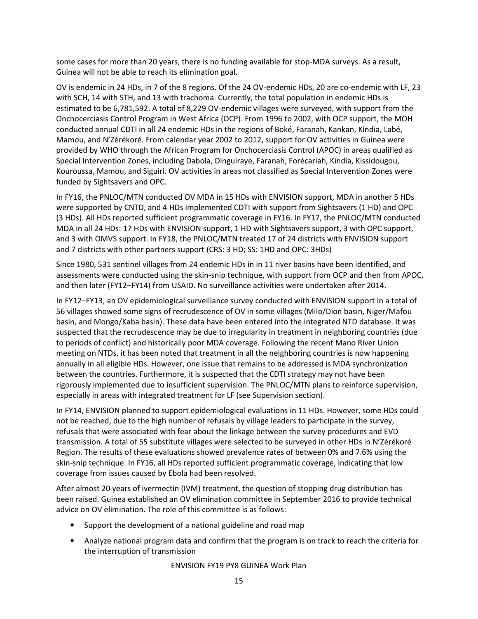some cases for more than 20 years, there is no funding available for stop-MDA surveys. As a result, Guinea will not be able to reach its elimination goal.

OV is endemic in 24 HDs, in 7 of the 8 regions. Of the 24 OV-endemic HDs, 20 are co-endemic with LF, 23 with SCH, 14 with STH, and 13 with trachoma. Currently, the total population in endemic HDs is estimated to be 6,781,592. A total of 8,229 OV-endemic villages were surveyed, with support from the Onchocerciasis Control Program in West Africa (OCP). From 1996 to 2002, with OCP support, the MOH conducted annual CDTI in all 24 endemic HDs in the regions of Boké, Faranah, Kankan, Kindia, Labé, Mamou, and N'Zérékoré. From calendar year 2002 to 2012, support for OV activities in Guinea were provided by WHO through the African Program for Onchocerciasis Control (APOC) in areas qualified as Special Intervention Zones, including Dabola, Dinguiraye, Faranah, Forécariah, Kindia, Kissidougou, Kouroussa, Mamou, and Siguiri. OV activities in areas not classified as Special Intervention Zones were funded by Sightsavers and OPC.

In FY16, the PNLOC/MTN conducted OV MDA in 15 HDs with ENVISION support, MDA in another 5 HDs were supported by CNTD, and 4 HDs implemented CDTI with support from Sightsavers (1 HD) and OPC (3 HDs). All HDs reported sufficient programmatic coverage in FY16. In FY17, the PNLOC/MTN conducted MDA in all 24 HDs: 17 HDs with ENVISION support, 1 HD with Sightsavers support, 3 with OPC support, and 3 with OMVS support. In FY18, the PNLOC/MTN treated 17 of 24 districts with ENVISION support and 7 districts with other partners support (CRS: 3 HD; SS: 1HD and OPC: 3HDs)

Since 1980, 531 sentinel villages from 24 endemic HDs in in 11 river basins have been identified, and assessments were conducted using the skin-snip technique, with support from OCP and then from APOC, and then later (FY12–FY14) from USAID. No surveillance activities were undertaken after 2014.

In FY12–FY13, an OV epidemiological surveillance survey conducted with ENVISION support in a total of 56 villages showed some signs of recrudescence of OV in some villages (Milo/Dion basin, Niger/Mafou basin, and Mongo/Kaba basin). These data have been entered into the integrated NTD database. It was suspected that the recrudescence may be due to irregularity in treatment in neighboring countries (due to periods of conflict) and historically poor MDA coverage. Following the recent Mano River Union meeting on NTDs, it has been noted that treatment in all the neighboring countries is now happening annually in all eligible HDs. However, one issue that remains to be addressed is MDA synchronization between the countries. Furthermore, it is suspected that the CDTI strategy may not have been rigorously implemented due to insufficient supervision. The PNLOC/MTN plans to reinforce supervision, especially in areas with integrated treatment for LF (see Supervision section).

In FY14, ENVISION planned to support epidemiological evaluations in 11 HDs. However, some HDs could not be reached, due to the high number of refusals by village leaders to participate in the survey, refusals that were associated with fear about the linkage between the survey procedures and EVD transmission. A total of 55 substitute villages were selected to be surveyed in other HDs in N'Zérékoré Region. The results of these evaluations showed prevalence rates of between 0% and 7.6% using the skin-snip technique. In FY16, all HDs reported sufficient programmatic coverage, indicating that low coverage from issues caused by Ebola had been resolved.

After almost 20 years of ivermectin (IVM) treatment, the question of stopping drug distribution has been raised. Guinea established an OV elimination committee in September 2016 to provide technical advice on OV elimination. The role of this committee is as follows:

- Support the development of a national guideline and road map
- Analyze national program data and confirm that the program is on track to reach the criteria for the interruption of transmission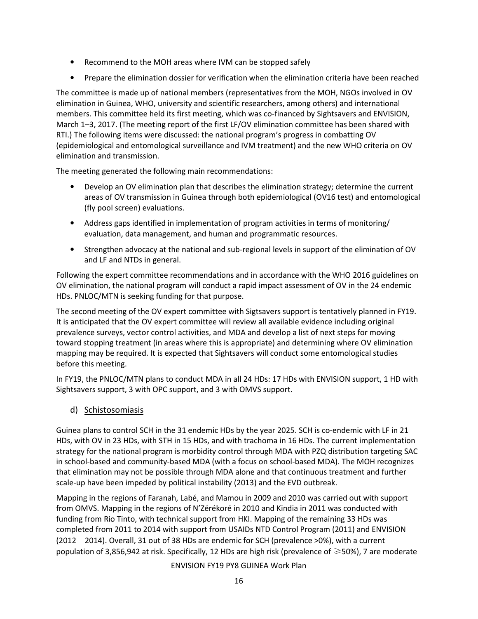- Recommend to the MOH areas where IVM can be stopped safely
- Prepare the elimination dossier for verification when the elimination criteria have been reached

The committee is made up of national members (representatives from the MOH, NGOs involved in OV elimination in Guinea, WHO, university and scientific researchers, among others) and international members. This committee held its first meeting, which was co-financed by Sightsavers and ENVISION, March 1–3, 2017. (The meeting report of the first LF/OV elimination committee has been shared with RTI.) The following items were discussed: the national program's progress in combatting OV (epidemiological and entomological surveillance and IVM treatment) and the new WHO criteria on OV elimination and transmission.

The meeting generated the following main recommendations:

- Develop an OV elimination plan that describes the elimination strategy; determine the current areas of OV transmission in Guinea through both epidemiological (OV16 test) and entomological (fly pool screen) evaluations.
- Address gaps identified in implementation of program activities in terms of monitoring/ evaluation, data management, and human and programmatic resources.
- Strengthen advocacy at the national and sub-regional levels in support of the elimination of OV and LF and NTDs in general.

Following the expert committee recommendations and in accordance with the WHO 2016 guidelines on OV elimination, the national program will conduct a rapid impact assessment of OV in the 24 endemic HDs. PNLOC/MTN is seeking funding for that purpose.

The second meeting of the OV expert committee with Sigtsavers support is tentatively planned in FY19. It is anticipated that the OV expert committee will review all available evidence including original prevalence surveys, vector control activities, and MDA and develop a list of next steps for moving toward stopping treatment (in areas where this is appropriate) and determining where OV elimination mapping may be required. It is expected that Sightsavers will conduct some entomological studies before this meeting.

In FY19, the PNLOC/MTN plans to conduct MDA in all 24 HDs: 17 HDs with ENVISION support, 1 HD with Sightsavers support, 3 with OPC support, and 3 with OMVS support.

d) Schistosomiasis

Guinea plans to control SCH in the 31 endemic HDs by the year 2025. SCH is co-endemic with LF in 21 HDs, with OV in 23 HDs, with STH in 15 HDs, and with trachoma in 16 HDs. The current implementation strategy for the national program is morbidity control through MDA with PZQ distribution targeting SAC in school-based and community-based MDA (with a focus on school-based MDA). The MOH recognizes that elimination may not be possible through MDA alone and that continuous treatment and further scale-up have been impeded by political instability (2013) and the EVD outbreak.

Mapping in the regions of Faranah, Labé, and Mamou in 2009 and 2010 was carried out with support from OMVS. Mapping in the regions of N'Zérékoré in 2010 and Kindia in 2011 was conducted with funding from Rio Tinto, with technical support from HKI. Mapping of the remaining 33 HDs was completed from 2011 to 2014 with support from USAIDs NTD Control Program (2011) and ENVISION (2012–2014). Overall, 31 out of 38 HDs are endemic for SCH (prevalence >0%), with a current population of 3,856,942 at risk. Specifically, 12 HDs are high risk (prevalence of ≥50%), 7 are moderate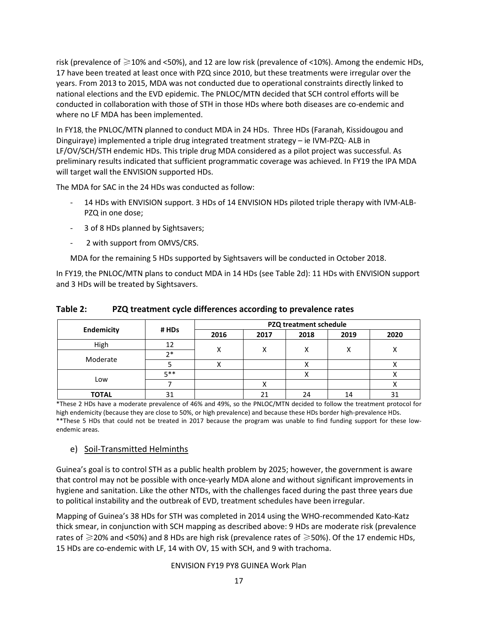risk (prevalence of  $\geq$ 10% and <50%), and 12 are low risk (prevalence of <10%). Among the endemic HDs, 17 have been treated at least once with PZQ since 2010, but these treatments were irregular over the years. From 2013 to 2015, MDA was not conducted due to operational constraints directly linked to national elections and the EVD epidemic. The PNLOC/MTN decided that SCH control efforts will be conducted in collaboration with those of STH in those HDs where both diseases are co-endemic and where no LF MDA has been implemented.

In FY18, the PNLOC/MTN planned to conduct MDA in 24 HDs. Three HDs (Faranah, Kissidougou and Dinguiraye) implemented a triple drug integrated treatment strategy – ie IVM-PZQ- ALB in LF/OV/SCH/STH endemic HDs. This triple drug MDA considered as a pilot project was successful. As preliminary results indicated that sufficient programmatic coverage was achieved. In FY19 the IPA MDA will target wall the ENVISION supported HDs.

The MDA for SAC in the 24 HDs was conducted as follow:

- 14 HDs with ENVISION support. 3 HDs of 14 ENVISION HDs piloted triple therapy with IVM-ALB-PZQ in one dose;
- 3 of 8 HDs planned by Sightsavers;
- 2 with support from OMVS/CRS.

MDA for the remaining 5 HDs supported by Sightsavers will be conducted in October 2018.

In FY19, the PNLOC/MTN plans to conduct MDA in 14 HDs (see Table 2d): 11 HDs with ENVISION support and 3 HDs will be treated by Sightsavers.

|              | # HDs | PZQ treatment schedule |      |      |      |      |  |  |
|--------------|-------|------------------------|------|------|------|------|--|--|
| Endemicity   |       | 2016                   | 2017 | 2018 | 2019 | 2020 |  |  |
| High         | 12    |                        | x    |      | х    | v    |  |  |
| Moderate     | つ*    | х                      |      |      |      |      |  |  |
|              |       |                        |      |      |      |      |  |  |
|              | 5**   |                        |      |      |      |      |  |  |
| Low          |       |                        |      |      |      |      |  |  |
| <b>TOTAL</b> | 31    |                        | 21   | 24   | 14   | ۰ د  |  |  |

Table 2: PZQ treatment cycle differences according to prevalence rates

\*These 2 HDs have a moderate prevalence of 46% and 49%, so the PNLOC/MTN decided to follow the treatment protocol for high endemicity (because they are close to 50%, or high prevalence) and because these HDs border high-prevalence HDs. \*\*These 5 HDs that could not be treated in 2017 because the program was unable to find funding support for these lowendemic areas.

#### e) Soil-Transmitted Helminths

Guinea's goal is to control STH as a public health problem by 2025; however, the government is aware that control may not be possible with once-yearly MDA alone and without significant improvements in hygiene and sanitation. Like the other NTDs, with the challenges faced during the past three years due to political instability and the outbreak of EVD, treatment schedules have been irregular.

Mapping of Guinea's 38 HDs for STH was completed in 2014 using the WHO-recommended Kato-Katz thick smear, in conjunction with SCH mapping as described above: 9 HDs are moderate risk (prevalence rates of  $\geq$  20% and <50%) and 8 HDs are high risk (prevalence rates of  $\geq$  50%). Of the 17 endemic HDs, 15 HDs are co-endemic with LF, 14 with OV, 15 with SCH, and 9 with trachoma.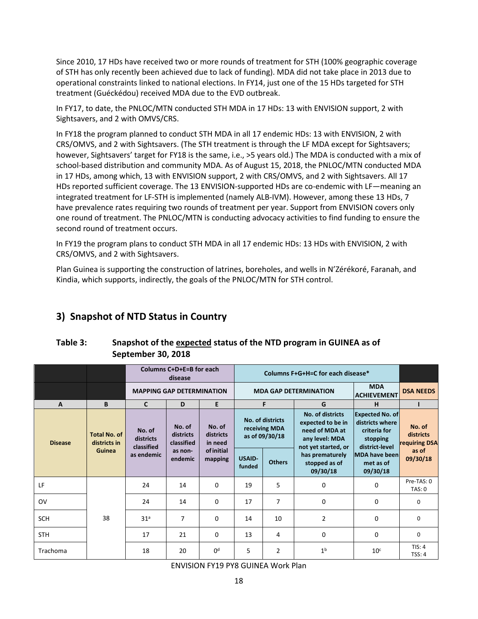Since 2010, 17 HDs have received two or more rounds of treatment for STH (100% geographic coverage of STH has only recently been achieved due to lack of funding). MDA did not take place in 2013 due to operational constraints linked to national elections. In FY14, just one of the 15 HDs targeted for STH treatment (Guéckédou) received MDA due to the EVD outbreak.

In FY17, to date, the PNLOC/MTN conducted STH MDA in 17 HDs: 13 with ENVISION support, 2 with Sightsavers, and 2 with OMVS/CRS.

In FY18 the program planned to conduct STH MDA in all 17 endemic HDs: 13 with ENVISION, 2 with CRS/OMVS, and 2 with Sightsavers. (The STH treatment is through the LF MDA except for Sightsavers; however, Sightsavers' target for FY18 is the same, i.e., >5 years old.) The MDA is conducted with a mix of school-based distribution and community MDA. As of August 15, 2018, the PNLOC/MTN conducted MDA in 17 HDs, among which, 13 with ENVISION support, 2 with CRS/OMVS, and 2 with Sightsavers. All 17 HDs reported sufficient coverage. The 13 ENVISION-supported HDs are co-endemic with LF—meaning an integrated treatment for LF-STH is implemented (namely ALB-IVM). However, among these 13 HDs, 7 have prevalence rates requiring two rounds of treatment per year. Support from ENVISION covers only one round of treatment. The PNLOC/MTN is conducting advocacy activities to find funding to ensure the second round of treatment occurs.

In FY19 the program plans to conduct STH MDA in all 17 endemic HDs: 13 HDs with ENVISION, 2 with CRS/OMVS, and 2 with Sightsavers.

Plan Guinea is supporting the construction of latrines, boreholes, and wells in N'Zérékoré, Faranah, and Kindia, which supports, indirectly, the goals of the PNLOC/MTN for STH control.

## 3) Snapshot of NTD Status in Country

| Table 3: | Snapshot of the expected status of the NTD program in GUINEA as of |
|----------|--------------------------------------------------------------------|
|          | September 30, 2018                                                 |

|                |                                     | Columns C+D+E=B for each          |                                   | Columns F+G+H=C for each disease* |                                                     |                                                    |                |                                              |                                                                                                  |                                                                                         |                                      |
|----------------|-------------------------------------|-----------------------------------|-----------------------------------|-----------------------------------|-----------------------------------------------------|----------------------------------------------------|----------------|----------------------------------------------|--------------------------------------------------------------------------------------------------|-----------------------------------------------------------------------------------------|--------------------------------------|
|                |                                     | <b>MAPPING GAP DETERMINATION</b>  |                                   |                                   |                                                     | <b>MDA GAP DETERMINATION</b><br><b>ACHIEVEMENT</b> |                |                                              | <b>DSA NEEDS</b>                                                                                 |                                                                                         |                                      |
| $\mathbf{A}$   | B                                   | $\mathsf{C}$                      | D                                 | E                                 |                                                     | F                                                  | G              | н                                            |                                                                                                  |                                                                                         |                                      |
| <b>Disease</b> | <b>Total No. of</b><br>districts in | No. of<br>districts<br>classified | No. of<br>districts<br>classified | No. of<br>districts<br>in need    | No. of districts<br>receiving MDA<br>as of 09/30/18 |                                                    |                |                                              | No. of districts<br>expected to be in<br>need of MDA at<br>any level: MDA<br>not yet started, or | <b>Expected No. of</b><br>districts where<br>criteria for<br>stopping<br>district-level | No. of<br>districts<br>requiring DSA |
|                | Guinea                              |                                   | as endemic                        | as non-<br>endemic                | <b>of initial</b><br>mapping                        | <b>USAID-</b><br>funded                            | <b>Others</b>  | has prematurely<br>stopped as of<br>09/30/18 | MDA have been<br>met as of<br>09/30/18                                                           | as of<br>09/30/18                                                                       |                                      |
| LF             |                                     | 24                                | 14                                | $\Omega$                          | 19                                                  | 5                                                  | $\mathbf 0$    | $\Omega$                                     | Pre-TAS: 0<br>TAS: 0                                                                             |                                                                                         |                                      |
| <b>OV</b>      |                                     | 24                                | 14                                | $\Omega$                          | 17                                                  | 7                                                  | $\mathbf 0$    | 0                                            | $\Omega$                                                                                         |                                                                                         |                                      |
| <b>SCH</b>     | 38                                  | 31 <sup>a</sup>                   | $\overline{7}$                    | $\Omega$                          | 14                                                  | 10                                                 | $\overline{2}$ | $\Omega$                                     | $\Omega$                                                                                         |                                                                                         |                                      |
| <b>STH</b>     |                                     | 17                                | 21                                | $\Omega$                          | 13                                                  | 4                                                  | $\mathbf 0$    | 0                                            | 0                                                                                                |                                                                                         |                                      |
| Trachoma       |                                     | 18                                | 20                                | 0 <sup>d</sup>                    | 5                                                   | 2                                                  | 1 <sup>b</sup> | 10 <sup>c</sup>                              | TIS: 4<br><b>TSS: 4</b>                                                                          |                                                                                         |                                      |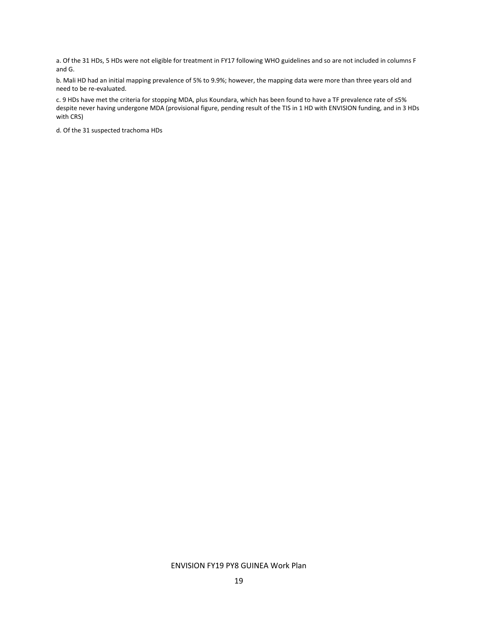a. Of the 31 HDs, 5 HDs were not eligible for treatment in FY17 following WHO guidelines and so are not included in columns F and G.

b. Mali HD had an initial mapping prevalence of 5% to 9.9%; however, the mapping data were more than three years old and need to be re-evaluated.

c. 9 HDs have met the criteria for stopping MDA, plus Koundara, which has been found to have a TF prevalence rate of ≤5% despite never having undergone MDA (provisional figure, pending result of the TIS in 1 HD with ENVISION funding, and in 3 HDs with CRS)

d. Of the 31 suspected trachoma HDs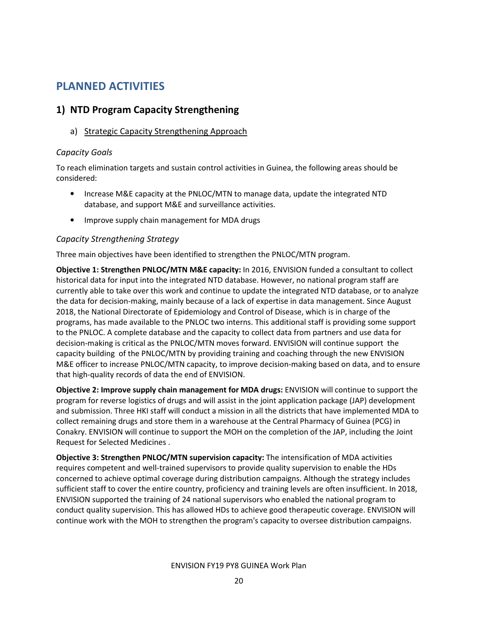## PLANNED ACTIVITIES

## 1) NTD Program Capacity Strengthening

a) Strategic Capacity Strengthening Approach

#### Capacity Goals

To reach elimination targets and sustain control activities in Guinea, the following areas should be considered:

- Increase M&E capacity at the PNLOC/MTN to manage data, update the integrated NTD database, and support M&E and surveillance activities.
- Improve supply chain management for MDA drugs

#### Capacity Strengthening Strategy

Three main objectives have been identified to strengthen the PNLOC/MTN program.

Objective 1: Strengthen PNLOC/MTN M&E capacity: In 2016, ENVISION funded a consultant to collect historical data for input into the integrated NTD database. However, no national program staff are currently able to take over this work and continue to update the integrated NTD database, or to analyze the data for decision-making, mainly because of a lack of expertise in data management. Since August 2018, the National Directorate of Epidemiology and Control of Disease, which is in charge of the programs, has made available to the PNLOC two interns. This additional staff is providing some support to the PNLOC. A complete database and the capacity to collect data from partners and use data for decision-making is critical as the PNLOC/MTN moves forward. ENVISION will continue support the capacity building of the PNLOC/MTN by providing training and coaching through the new ENVISION M&E officer to increase PNLOC/MTN capacity, to improve decision-making based on data, and to ensure that high-quality records of data the end of ENVISION.

Objective 2: Improve supply chain management for MDA drugs: ENVISION will continue to support the program for reverse logistics of drugs and will assist in the joint application package (JAP) development and submission. Three HKI staff will conduct a mission in all the districts that have implemented MDA to collect remaining drugs and store them in a warehouse at the Central Pharmacy of Guinea (PCG) in Conakry. ENVISION will continue to support the MOH on the completion of the JAP, including the Joint Request for Selected Medicines .

Objective 3: Strengthen PNLOC/MTN supervision capacity: The intensification of MDA activities requires competent and well-trained supervisors to provide quality supervision to enable the HDs concerned to achieve optimal coverage during distribution campaigns. Although the strategy includes sufficient staff to cover the entire country, proficiency and training levels are often insufficient. In 2018, ENVISION supported the training of 24 national supervisors who enabled the national program to conduct quality supervision. This has allowed HDs to achieve good therapeutic coverage. ENVISION will continue work with the MOH to strengthen the program's capacity to oversee distribution campaigns.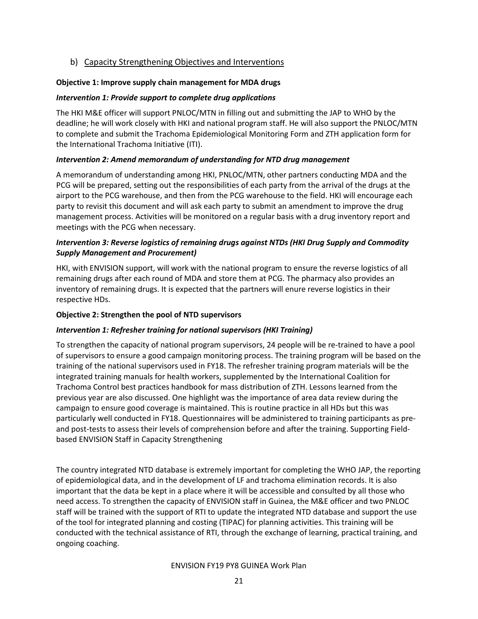#### b) Capacity Strengthening Objectives and Interventions

#### Objective 1: Improve supply chain management for MDA drugs

#### Intervention 1: Provide support to complete drug applications

The HKI M&E officer will support PNLOC/MTN in filling out and submitting the JAP to WHO by the deadline; he will work closely with HKI and national program staff. He will also support the PNLOC/MTN to complete and submit the Trachoma Epidemiological Monitoring Form and ZTH application form for the International Trachoma Initiative (ITI).

#### Intervention 2: Amend memorandum of understanding for NTD drug management

A memorandum of understanding among HKI, PNLOC/MTN, other partners conducting MDA and the PCG will be prepared, setting out the responsibilities of each party from the arrival of the drugs at the airport to the PCG warehouse, and then from the PCG warehouse to the field. HKI will encourage each party to revisit this document and will ask each party to submit an amendment to improve the drug management process. Activities will be monitored on a regular basis with a drug inventory report and meetings with the PCG when necessary.

#### Intervention 3: Reverse logistics of remaining drugs against NTDs (HKI Drug Supply and Commodity Supply Management and Procurement)

HKI, with ENVISION support, will work with the national program to ensure the reverse logistics of all remaining drugs after each round of MDA and store them at PCG. The pharmacy also provides an inventory of remaining drugs. It is expected that the partners will enure reverse logistics in their respective HDs.

#### Objective 2: Strengthen the pool of NTD supervisors

#### Intervention 1: Refresher training for national supervisors (HKI Training)

To strengthen the capacity of national program supervisors, 24 people will be re-trained to have a pool of supervisors to ensure a good campaign monitoring process. The training program will be based on the training of the national supervisors used in FY18. The refresher training program materials will be the integrated training manuals for health workers, supplemented by the International Coalition for Trachoma Control best practices handbook for mass distribution of ZTH. Lessons learned from the previous year are also discussed. One highlight was the importance of area data review during the campaign to ensure good coverage is maintained. This is routine practice in all HDs but this was particularly well conducted in FY18. Questionnaires will be administered to training participants as preand post-tests to assess their levels of comprehension before and after the training. Supporting Fieldbased ENVISION Staff in Capacity Strengthening

The country integrated NTD database is extremely important for completing the WHO JAP, the reporting of epidemiological data, and in the development of LF and trachoma elimination records. It is also important that the data be kept in a place where it will be accessible and consulted by all those who need access. To strengthen the capacity of ENVISION staff in Guinea, the M&E officer and two PNLOC staff will be trained with the support of RTI to update the integrated NTD database and support the use of the tool for integrated planning and costing (TIPAC) for planning activities. This training will be conducted with the technical assistance of RTI, through the exchange of learning, practical training, and ongoing coaching.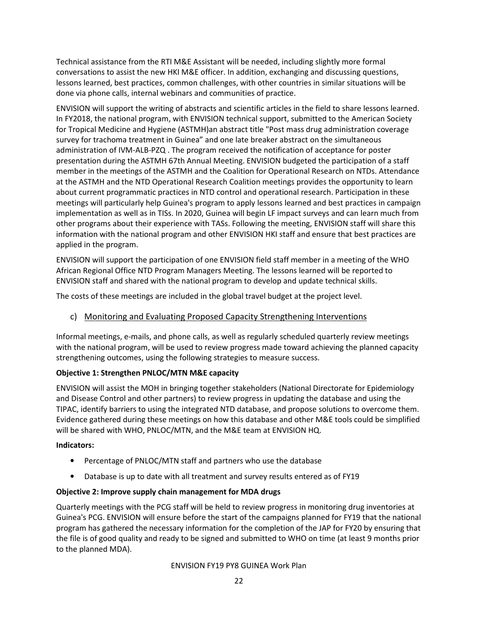Technical assistance from the RTI M&E Assistant will be needed, including slightly more formal conversations to assist the new HKI M&E officer. In addition, exchanging and discussing questions, lessons learned, best practices, common challenges, with other countries in similar situations will be done via phone calls, internal webinars and communities of practice.

ENVISION will support the writing of abstracts and scientific articles in the field to share lessons learned. In FY2018, the national program, with ENVISION technical support, submitted to the American Society for Tropical Medicine and Hygiene (ASTMH)an abstract title "Post mass drug administration coverage survey for trachoma treatment in Guinea" and one late breaker abstract on the simultaneous administration of IVM-ALB-PZQ . The program received the notification of acceptance for poster presentation during the ASTMH 67th Annual Meeting. ENVISION budgeted the participation of a staff member in the meetings of the ASTMH and the Coalition for Operational Research on NTDs. Attendance at the ASTMH and the NTD Operational Research Coalition meetings provides the opportunity to learn about current programmatic practices in NTD control and operational research. Participation in these meetings will particularly help Guinea's program to apply lessons learned and best practices in campaign implementation as well as in TISs. In 2020, Guinea will begin LF impact surveys and can learn much from other programs about their experience with TASs. Following the meeting, ENVISION staff will share this information with the national program and other ENVISION HKI staff and ensure that best practices are applied in the program.

ENVISION will support the participation of one ENVISION field staff member in a meeting of the WHO African Regional Office NTD Program Managers Meeting. The lessons learned will be reported to ENVISION staff and shared with the national program to develop and update technical skills.

The costs of these meetings are included in the global travel budget at the project level.

#### c) Monitoring and Evaluating Proposed Capacity Strengthening Interventions

Informal meetings, e-mails, and phone calls, as well as regularly scheduled quarterly review meetings with the national program, will be used to review progress made toward achieving the planned capacity strengthening outcomes, using the following strategies to measure success.

#### Objective 1: Strengthen PNLOC/MTN M&E capacity

ENVISION will assist the MOH in bringing together stakeholders (National Directorate for Epidemiology and Disease Control and other partners) to review progress in updating the database and using the TIPAC, identify barriers to using the integrated NTD database, and propose solutions to overcome them. Evidence gathered during these meetings on how this database and other M&E tools could be simplified will be shared with WHO, PNLOC/MTN, and the M&E team at ENVISION HQ.

#### Indicators:

- Percentage of PNLOC/MTN staff and partners who use the database
- Database is up to date with all treatment and survey results entered as of FY19

#### Objective 2: Improve supply chain management for MDA drugs

Quarterly meetings with the PCG staff will be held to review progress in monitoring drug inventories at Guinea's PCG. ENVISION will ensure before the start of the campaigns planned for FY19 that the national program has gathered the necessary information for the completion of the JAP for FY20 by ensuring that the file is of good quality and ready to be signed and submitted to WHO on time (at least 9 months prior to the planned MDA).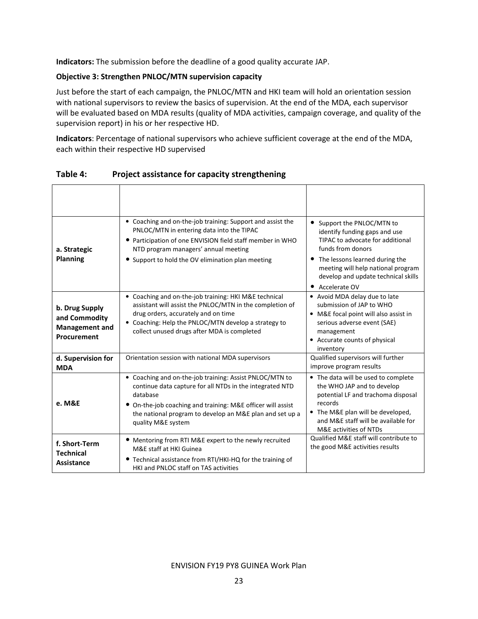Indicators: The submission before the deadline of a good quality accurate JAP.

#### Objective 3: Strengthen PNLOC/MTN supervision capacity

Just before the start of each campaign, the PNLOC/MTN and HKI team will hold an orientation session with national supervisors to review the basics of supervision. At the end of the MDA, each supervisor will be evaluated based on MDA results (quality of MDA activities, campaign coverage, and quality of the supervision report) in his or her respective HD.

Indicators: Percentage of national supervisors who achieve sufficient coverage at the end of the MDA, each within their respective HD supervised

| a. Strategic<br><b>Planning</b>                                         | • Coaching and on-the-job training: Support and assist the<br>PNLOC/MTN in entering data into the TIPAC<br>• Participation of one ENVISION field staff member in WHO<br>NTD program managers' annual meeting<br>• Support to hold the OV elimination plan meeting                | • Support the PNLOC/MTN to<br>identify funding gaps and use<br>TIPAC to advocate for additional<br>funds from donors<br>• The lessons learned during the<br>meeting will help national program<br>develop and update technical skills<br>• Accelerate OV |
|-------------------------------------------------------------------------|----------------------------------------------------------------------------------------------------------------------------------------------------------------------------------------------------------------------------------------------------------------------------------|----------------------------------------------------------------------------------------------------------------------------------------------------------------------------------------------------------------------------------------------------------|
| b. Drug Supply<br>and Commodity<br><b>Management and</b><br>Procurement | • Coaching and on-the-job training: HKI M&E technical<br>assistant will assist the PNLOC/MTN in the completion of<br>drug orders, accurately and on time<br>• Coaching: Help the PNLOC/MTN develop a strategy to<br>collect unused drugs after MDA is completed                  | • Avoid MDA delay due to late<br>submission of JAP to WHO<br>• M&E focal point will also assist in<br>serious adverse event (SAE)<br>management<br>• Accurate counts of physical<br>inventory                                                            |
| d. Supervision for<br><b>MDA</b>                                        | Orientation session with national MDA supervisors                                                                                                                                                                                                                                | Qualified supervisors will further<br>improve program results                                                                                                                                                                                            |
| e. M&E                                                                  | • Coaching and on-the-job training: Assist PNLOC/MTN to<br>continue data capture for all NTDs in the integrated NTD<br>database<br>• On-the-job coaching and training: M&E officer will assist<br>the national program to develop an M&E plan and set up a<br>quality M&E system | • The data will be used to complete<br>the WHO JAP and to develop<br>potential LF and trachoma disposal<br>records<br>• The M&E plan will be developed,<br>and M&E staff will be available for<br>M&E activities of NTDs                                 |
| f. Short-Term<br><b>Technical</b><br>Assistance                         | • Mentoring from RTI M&E expert to the newly recruited<br>M&E staff at HKI Guinea<br>• Technical assistance from RTI/HKI-HQ for the training of<br>HKI and PNLOC staff on TAS activities                                                                                         | Qualified M&E staff will contribute to<br>the good M&E activities results                                                                                                                                                                                |

Table 4: Project assistance for capacity strengthening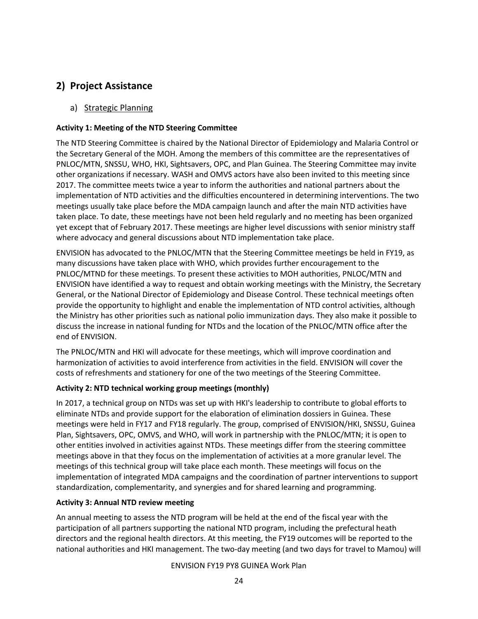## 2) Project Assistance

#### a) Strategic Planning

#### Activity 1: Meeting of the NTD Steering Committee

The NTD Steering Committee is chaired by the National Director of Epidemiology and Malaria Control or the Secretary General of the MOH. Among the members of this committee are the representatives of PNLOC/MTN, SNSSU, WHO, HKI, Sightsavers, OPC, and Plan Guinea. The Steering Committee may invite other organizations if necessary. WASH and OMVS actors have also been invited to this meeting since 2017. The committee meets twice a year to inform the authorities and national partners about the implementation of NTD activities and the difficulties encountered in determining interventions. The two meetings usually take place before the MDA campaign launch and after the main NTD activities have taken place. To date, these meetings have not been held regularly and no meeting has been organized yet except that of February 2017. These meetings are higher level discussions with senior ministry staff where advocacy and general discussions about NTD implementation take place.

ENVISION has advocated to the PNLOC/MTN that the Steering Committee meetings be held in FY19, as many discussions have taken place with WHO, which provides further encouragement to the PNLOC/MTND for these meetings. To present these activities to MOH authorities, PNLOC/MTN and ENVISION have identified a way to request and obtain working meetings with the Ministry, the Secretary General, or the National Director of Epidemiology and Disease Control. These technical meetings often provide the opportunity to highlight and enable the implementation of NTD control activities, although the Ministry has other priorities such as national polio immunization days. They also make it possible to discuss the increase in national funding for NTDs and the location of the PNLOC/MTN office after the end of ENVISION.

The PNLOC/MTN and HKI will advocate for these meetings, which will improve coordination and harmonization of activities to avoid interference from activities in the field. ENVISION will cover the costs of refreshments and stationery for one of the two meetings of the Steering Committee.

#### Activity 2: NTD technical working group meetings (monthly)

In 2017, a technical group on NTDs was set up with HKI's leadership to contribute to global efforts to eliminate NTDs and provide support for the elaboration of elimination dossiers in Guinea. These meetings were held in FY17 and FY18 regularly. The group, comprised of ENVISION/HKI, SNSSU, Guinea Plan, Sightsavers, OPC, OMVS, and WHO, will work in partnership with the PNLOC/MTN; it is open to other entities involved in activities against NTDs. These meetings differ from the steering committee meetings above in that they focus on the implementation of activities at a more granular level. The meetings of this technical group will take place each month. These meetings will focus on the implementation of integrated MDA campaigns and the coordination of partner interventions to support standardization, complementarity, and synergies and for shared learning and programming.

#### Activity 3: Annual NTD review meeting

An annual meeting to assess the NTD program will be held at the end of the fiscal year with the participation of all partners supporting the national NTD program, including the prefectural heath directors and the regional health directors. At this meeting, the FY19 outcomes will be reported to the national authorities and HKI management. The two-day meeting (and two days for travel to Mamou) will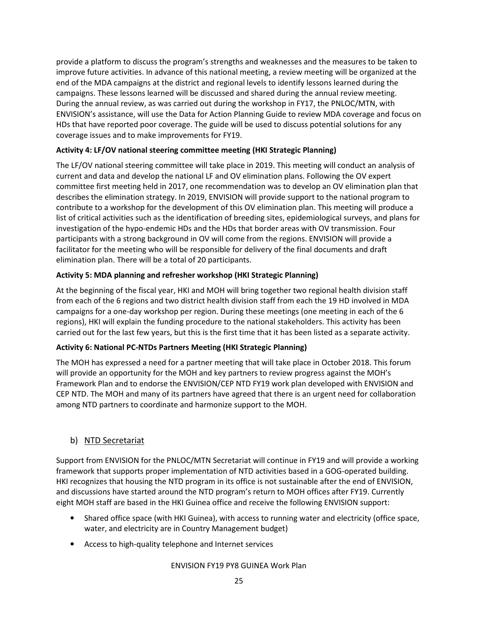provide a platform to discuss the program's strengths and weaknesses and the measures to be taken to improve future activities. In advance of this national meeting, a review meeting will be organized at the end of the MDA campaigns at the district and regional levels to identify lessons learned during the campaigns. These lessons learned will be discussed and shared during the annual review meeting. During the annual review, as was carried out during the workshop in FY17, the PNLOC/MTN, with ENVISION's assistance, will use the Data for Action Planning Guide to review MDA coverage and focus on HDs that have reported poor coverage. The guide will be used to discuss potential solutions for any coverage issues and to make improvements for FY19.

#### Activity 4: LF/OV national steering committee meeting (HKI Strategic Planning)

The LF/OV national steering committee will take place in 2019. This meeting will conduct an analysis of current and data and develop the national LF and OV elimination plans. Following the OV expert committee first meeting held in 2017, one recommendation was to develop an OV elimination plan that describes the elimination strategy. In 2019, ENVISION will provide support to the national program to contribute to a workshop for the development of this OV elimination plan. This meeting will produce a list of critical activities such as the identification of breeding sites, epidemiological surveys, and plans for investigation of the hypo-endemic HDs and the HDs that border areas with OV transmission. Four participants with a strong background in OV will come from the regions. ENVISION will provide a facilitator for the meeting who will be responsible for delivery of the final documents and draft elimination plan. There will be a total of 20 participants.

#### Activity 5: MDA planning and refresher workshop (HKI Strategic Planning)

At the beginning of the fiscal year, HKI and MOH will bring together two regional health division staff from each of the 6 regions and two district health division staff from each the 19 HD involved in MDA campaigns for a one-day workshop per region. During these meetings (one meeting in each of the 6 regions), HKI will explain the funding procedure to the national stakeholders. This activity has been carried out for the last few years, but this is the first time that it has been listed as a separate activity.

#### Activity 6: National PC-NTDs Partners Meeting (HKI Strategic Planning)

The MOH has expressed a need for a partner meeting that will take place in October 2018. This forum will provide an opportunity for the MOH and key partners to review progress against the MOH's Framework Plan and to endorse the ENVISION/CEP NTD FY19 work plan developed with ENVISION and CEP NTD. The MOH and many of its partners have agreed that there is an urgent need for collaboration among NTD partners to coordinate and harmonize support to the MOH.

#### b) NTD Secretariat

Support from ENVISION for the PNLOC/MTN Secretariat will continue in FY19 and will provide a working framework that supports proper implementation of NTD activities based in a GOG-operated building. HKI recognizes that housing the NTD program in its office is not sustainable after the end of ENVISION, and discussions have started around the NTD program's return to MOH offices after FY19. Currently eight MOH staff are based in the HKI Guinea office and receive the following ENVISION support:

- Shared office space (with HKI Guinea), with access to running water and electricity (office space, water, and electricity are in Country Management budget)
- Access to high-quality telephone and Internet services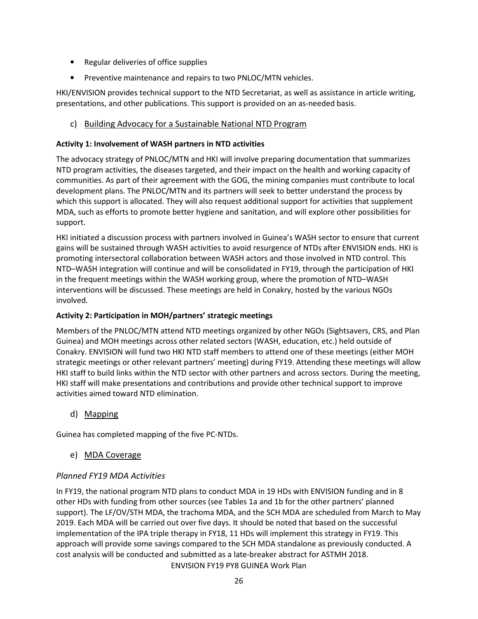- Regular deliveries of office supplies
- Preventive maintenance and repairs to two PNLOC/MTN vehicles.

HKI/ENVISION provides technical support to the NTD Secretariat, as well as assistance in article writing, presentations, and other publications. This support is provided on an as-needed basis.

#### c) Building Advocacy for a Sustainable National NTD Program

#### Activity 1: Involvement of WASH partners in NTD activities

The advocacy strategy of PNLOC/MTN and HKI will involve preparing documentation that summarizes NTD program activities, the diseases targeted, and their impact on the health and working capacity of communities. As part of their agreement with the GOG, the mining companies must contribute to local development plans. The PNLOC/MTN and its partners will seek to better understand the process by which this support is allocated. They will also request additional support for activities that supplement MDA, such as efforts to promote better hygiene and sanitation, and will explore other possibilities for support.

HKI initiated a discussion process with partners involved in Guinea's WASH sector to ensure that current gains will be sustained through WASH activities to avoid resurgence of NTDs after ENVISION ends. HKI is promoting intersectoral collaboration between WASH actors and those involved in NTD control. This NTD–WASH integration will continue and will be consolidated in FY19, through the participation of HKI in the frequent meetings within the WASH working group, where the promotion of NTD–WASH interventions will be discussed. These meetings are held in Conakry, hosted by the various NGOs involved.

#### Activity 2: Participation in MOH/partners' strategic meetings

Members of the PNLOC/MTN attend NTD meetings organized by other NGOs (Sightsavers, CRS, and Plan Guinea) and MOH meetings across other related sectors (WASH, education, etc.) held outside of Conakry. ENVISION will fund two HKI NTD staff members to attend one of these meetings (either MOH strategic meetings or other relevant partners' meeting) during FY19. Attending these meetings will allow HKI staff to build links within the NTD sector with other partners and across sectors. During the meeting, HKI staff will make presentations and contributions and provide other technical support to improve activities aimed toward NTD elimination.

#### d) Mapping

Guinea has completed mapping of the five PC-NTDs.

#### e) MDA Coverage

#### Planned FY19 MDA Activities

ENVISION FY19 PY8 GUINEA Work Plan In FY19, the national program NTD plans to conduct MDA in 19 HDs with ENVISION funding and in 8 other HDs with funding from other sources (see Tables 1a and 1b for the other partners' planned support). The LF/OV/STH MDA, the trachoma MDA, and the SCH MDA are scheduled from March to May 2019. Each MDA will be carried out over five days. It should be noted that based on the successful implementation of the IPA triple therapy in FY18, 11 HDs will implement this strategy in FY19. This approach will provide some savings compared to the SCH MDA standalone as previously conducted. A cost analysis will be conducted and submitted as a late-breaker abstract for ASTMH 2018.

26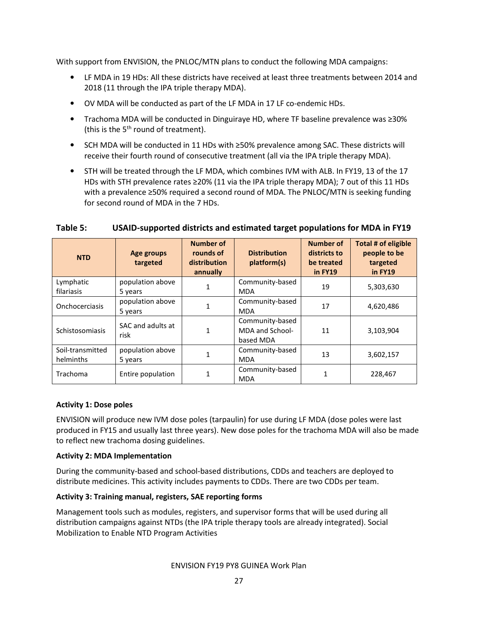With support from ENVISION, the PNLOC/MTN plans to conduct the following MDA campaigns:

- LF MDA in 19 HDs: All these districts have received at least three treatments between 2014 and 2018 (11 through the IPA triple therapy MDA).
- OV MDA will be conducted as part of the LF MDA in 17 LF co-endemic HDs.
- Trachoma MDA will be conducted in Dinguiraye HD, where TF baseline prevalence was ≥30% (this is the  $5<sup>th</sup>$  round of treatment).
- SCH MDA will be conducted in 11 HDs with ≥50% prevalence among SAC. These districts will receive their fourth round of consecutive treatment (all via the IPA triple therapy MDA).
- STH will be treated through the LF MDA, which combines IVM with ALB. In FY19, 13 of the 17 HDs with STH prevalence rates ≥20% (11 via the IPA triple therapy MDA); 7 out of this 11 HDs with a prevalence ≥50% required a second round of MDA. The PNLOC/MTN is seeking funding for second round of MDA in the 7 HDs.

| <b>NTD</b>                    | Age groups<br>targeted      | <b>Number of</b><br>rounds of<br>distribution<br>annually | <b>Distribution</b><br>platform(s)              | <b>Number of</b><br>districts to<br>be treated<br>in FY19 | Total # of eligible<br>people to be<br>targeted<br>in FY19 |
|-------------------------------|-----------------------------|-----------------------------------------------------------|-------------------------------------------------|-----------------------------------------------------------|------------------------------------------------------------|
| Lymphatic<br>filariasis       | population above<br>5 years |                                                           | Community-based<br><b>MDA</b>                   | 19                                                        | 5,303,630                                                  |
| Onchocerciasis                | population above<br>5 years |                                                           | Community-based<br><b>MDA</b>                   | 17                                                        | 4,620,486                                                  |
| Schistosomiasis               | SAC and adults at<br>risk   |                                                           | Community-based<br>MDA and School-<br>based MDA | 11                                                        | 3,103,904                                                  |
| Soil-transmitted<br>helminths | population above<br>5 years |                                                           | Community-based<br><b>MDA</b>                   | 13                                                        | 3,602,157                                                  |
| Trachoma                      | Entire population           |                                                           | Community-based<br><b>MDA</b>                   |                                                           | 228,467                                                    |

#### Table 5: USAID-supported districts and estimated target populations for MDA in FY19

#### Activity 1: Dose poles

ENVISION will produce new IVM dose poles (tarpaulin) for use during LF MDA (dose poles were last produced in FY15 and usually last three years). New dose poles for the trachoma MDA will also be made to reflect new trachoma dosing guidelines.

#### Activity 2: MDA Implementation

During the community-based and school-based distributions, CDDs and teachers are deployed to distribute medicines. This activity includes payments to CDDs. There are two CDDs per team.

#### Activity 3: Training manual, registers, SAE reporting forms

Management tools such as modules, registers, and supervisor forms that will be used during all distribution campaigns against NTDs (the IPA triple therapy tools are already integrated). Social Mobilization to Enable NTD Program Activities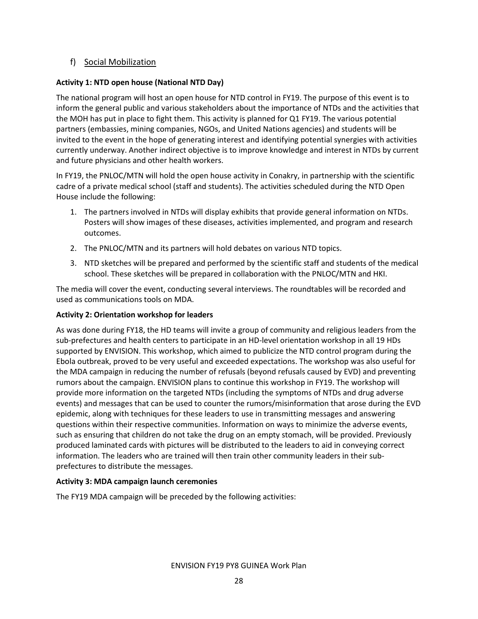#### f) Social Mobilization

#### Activity 1: NTD open house (National NTD Day)

The national program will host an open house for NTD control in FY19. The purpose of this event is to inform the general public and various stakeholders about the importance of NTDs and the activities that the MOH has put in place to fight them. This activity is planned for Q1 FY19. The various potential partners (embassies, mining companies, NGOs, and United Nations agencies) and students will be invited to the event in the hope of generating interest and identifying potential synergies with activities currently underway. Another indirect objective is to improve knowledge and interest in NTDs by current and future physicians and other health workers.

In FY19, the PNLOC/MTN will hold the open house activity in Conakry, in partnership with the scientific cadre of a private medical school (staff and students). The activities scheduled during the NTD Open House include the following:

- 1. The partners involved in NTDs will display exhibits that provide general information on NTDs. Posters will show images of these diseases, activities implemented, and program and research outcomes.
- 2. The PNLOC/MTN and its partners will hold debates on various NTD topics.
- 3. NTD sketches will be prepared and performed by the scientific staff and students of the medical school. These sketches will be prepared in collaboration with the PNLOC/MTN and HKI.

The media will cover the event, conducting several interviews. The roundtables will be recorded and used as communications tools on MDA.

#### Activity 2: Orientation workshop for leaders

As was done during FY18, the HD teams will invite a group of community and religious leaders from the sub-prefectures and health centers to participate in an HD-level orientation workshop in all 19 HDs supported by ENVISION. This workshop, which aimed to publicize the NTD control program during the Ebola outbreak, proved to be very useful and exceeded expectations. The workshop was also useful for the MDA campaign in reducing the number of refusals (beyond refusals caused by EVD) and preventing rumors about the campaign. ENVISION plans to continue this workshop in FY19. The workshop will provide more information on the targeted NTDs (including the symptoms of NTDs and drug adverse events) and messages that can be used to counter the rumors/misinformation that arose during the EVD epidemic, along with techniques for these leaders to use in transmitting messages and answering questions within their respective communities. Information on ways to minimize the adverse events, such as ensuring that children do not take the drug on an empty stomach, will be provided. Previously produced laminated cards with pictures will be distributed to the leaders to aid in conveying correct information. The leaders who are trained will then train other community leaders in their subprefectures to distribute the messages.

#### Activity 3: MDA campaign launch ceremonies

The FY19 MDA campaign will be preceded by the following activities: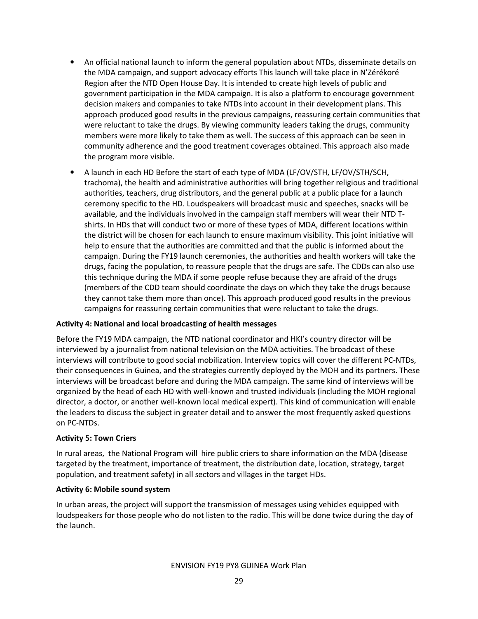- An official national launch to inform the general population about NTDs, disseminate details on the MDA campaign, and support advocacy efforts This launch will take place in N'Zérékoré Region after the NTD Open House Day. It is intended to create high levels of public and government participation in the MDA campaign. It is also a platform to encourage government decision makers and companies to take NTDs into account in their development plans. This approach produced good results in the previous campaigns, reassuring certain communities that were reluctant to take the drugs. By viewing community leaders taking the drugs, community members were more likely to take them as well. The success of this approach can be seen in community adherence and the good treatment coverages obtained. This approach also made the program more visible.
- A launch in each HD Before the start of each type of MDA (LF/OV/STH, LF/OV/STH/SCH, trachoma), the health and administrative authorities will bring together religious and traditional authorities, teachers, drug distributors, and the general public at a public place for a launch ceremony specific to the HD. Loudspeakers will broadcast music and speeches, snacks will be available, and the individuals involved in the campaign staff members will wear their NTD Tshirts. In HDs that will conduct two or more of these types of MDA, different locations within the district will be chosen for each launch to ensure maximum visibility. This joint initiative will help to ensure that the authorities are committed and that the public is informed about the campaign. During the FY19 launch ceremonies, the authorities and health workers will take the drugs, facing the population, to reassure people that the drugs are safe. The CDDs can also use this technique during the MDA if some people refuse because they are afraid of the drugs (members of the CDD team should coordinate the days on which they take the drugs because they cannot take them more than once). This approach produced good results in the previous campaigns for reassuring certain communities that were reluctant to take the drugs.

#### Activity 4: National and local broadcasting of health messages

Before the FY19 MDA campaign, the NTD national coordinator and HKI's country director will be interviewed by a journalist from national television on the MDA activities. The broadcast of these interviews will contribute to good social mobilization. Interview topics will cover the different PC-NTDs, their consequences in Guinea, and the strategies currently deployed by the MOH and its partners. These interviews will be broadcast before and during the MDA campaign. The same kind of interviews will be organized by the head of each HD with well-known and trusted individuals (including the MOH regional director, a doctor, or another well-known local medical expert). This kind of communication will enable the leaders to discuss the subject in greater detail and to answer the most frequently asked questions on PC-NTDs.

#### Activity 5: Town Criers

In rural areas, the National Program will hire public criers to share information on the MDA (disease targeted by the treatment, importance of treatment, the distribution date, location, strategy, target population, and treatment safety) in all sectors and villages in the target HDs.

#### Activity 6: Mobile sound system

In urban areas, the project will support the transmission of messages using vehicles equipped with loudspeakers for those people who do not listen to the radio. This will be done twice during the day of the launch.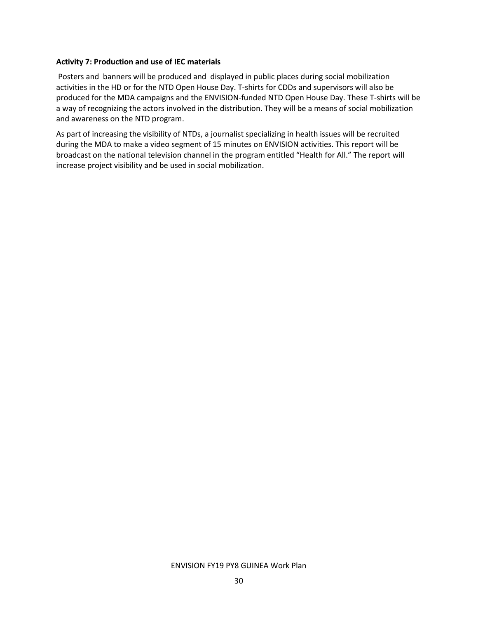#### Activity 7: Production and use of IEC materials

 Posters and banners will be produced and displayed in public places during social mobilization activities in the HD or for the NTD Open House Day. T-shirts for CDDs and supervisors will also be produced for the MDA campaigns and the ENVISION-funded NTD Open House Day. These T-shirts will be a way of recognizing the actors involved in the distribution. They will be a means of social mobilization and awareness on the NTD program.

As part of increasing the visibility of NTDs, a journalist specializing in health issues will be recruited during the MDA to make a video segment of 15 minutes on ENVISION activities. This report will be broadcast on the national television channel in the program entitled "Health for All." The report will increase project visibility and be used in social mobilization.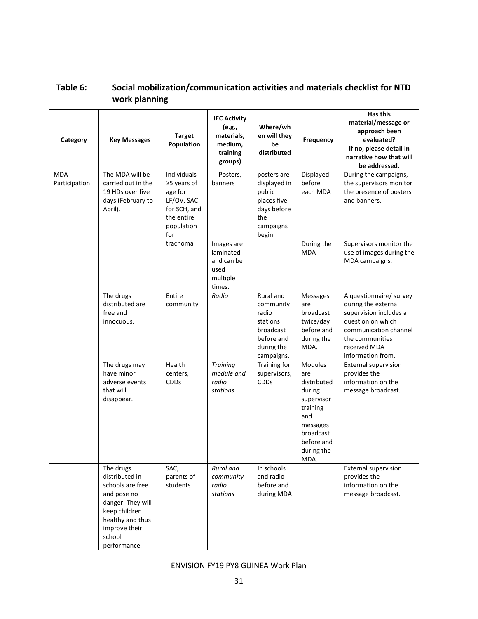| Category                    | <b>Key Messages</b>                                                                                                                                                 | <b>Target</b><br>Population                                                                                   | <b>IEC Activity</b><br>(e.g.,<br>materials,<br>medium,<br>training<br>groups) | Where/wh<br>en will they<br>be<br>distributed                                                      | Frequency                                                                                                                                    | <b>Has this</b><br>material/message or<br>approach been<br>evaluated?<br>If no, please detail in<br>narrative how that will<br>be addressed.                                   |
|-----------------------------|---------------------------------------------------------------------------------------------------------------------------------------------------------------------|---------------------------------------------------------------------------------------------------------------|-------------------------------------------------------------------------------|----------------------------------------------------------------------------------------------------|----------------------------------------------------------------------------------------------------------------------------------------------|--------------------------------------------------------------------------------------------------------------------------------------------------------------------------------|
| <b>MDA</b><br>Participation | The MDA will be<br>carried out in the<br>19 HDs over five<br>days (February to<br>April).                                                                           | <b>Individuals</b><br>≥5 years of<br>age for<br>LF/OV, SAC<br>for SCH, and<br>the entire<br>population<br>for | Posters,<br>banners                                                           | posters are<br>displayed in<br>public<br>places five<br>days before<br>the<br>campaigns<br>begin   | Displayed<br>before<br>each MDA                                                                                                              | During the campaigns,<br>the supervisors monitor<br>the presence of posters<br>and banners.                                                                                    |
|                             |                                                                                                                                                                     | trachoma                                                                                                      | Images are<br>laminated<br>and can be<br>used<br>multiple<br>times.           |                                                                                                    | During the<br><b>MDA</b>                                                                                                                     | Supervisors monitor the<br>use of images during the<br>MDA campaigns.                                                                                                          |
|                             | The drugs<br>distributed are<br>free and<br>innocuous.                                                                                                              | Entire<br>community                                                                                           | Radio                                                                         | Rural and<br>community<br>radio<br>stations<br>broadcast<br>before and<br>during the<br>campaigns. | <b>Messages</b><br>are<br>broadcast<br>twice/day<br>before and<br>during the<br>MDA.                                                         | A questionnaire/ survey<br>during the external<br>supervision includes a<br>question on which<br>communication channel<br>the communities<br>received MDA<br>information from. |
|                             | The drugs may<br>have minor<br>adverse events<br>that will<br>disappear.                                                                                            | Health<br>centers,<br><b>CDDs</b>                                                                             | <b>Training</b><br>module and<br>radio<br>stations                            | Training for<br>supervisors,<br><b>CDDs</b>                                                        | <b>Modules</b><br>are<br>distributed<br>during<br>supervisor<br>training<br>and<br>messages<br>broadcast<br>before and<br>during the<br>MDA. | External supervision<br>provides the<br>information on the<br>message broadcast.                                                                                               |
|                             | The drugs<br>distributed in<br>schools are free<br>and pose no<br>danger. They will<br>keep children<br>healthy and thus<br>improve their<br>school<br>performance. | SAC,<br>parents of<br>students                                                                                | Rural and<br>community<br>radio<br>stations                                   | In schools<br>and radio<br>before and<br>during MDA                                                |                                                                                                                                              | External supervision<br>provides the<br>information on the<br>message broadcast.                                                                                               |

## Table 6: Social mobilization/communication activities and materials checklist for NTD work planning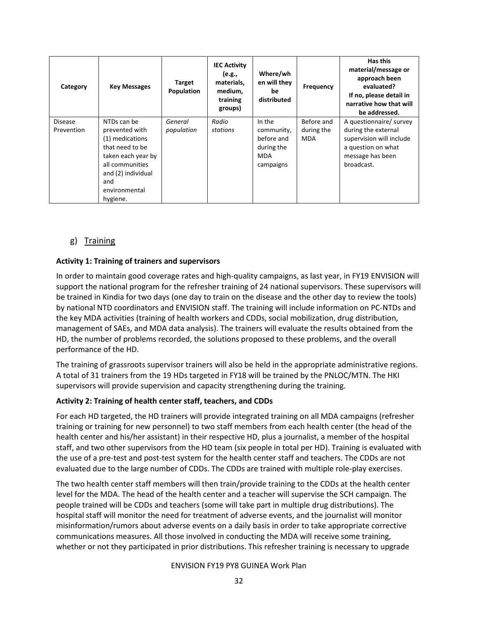| Category                     | <b>Key Messages</b>                                                                                                                                                    | <b>Target</b><br>Population | <b>IEC Activity</b><br>(e.g.,<br>materials,<br>medium,<br>training<br>groups) | Where/wh<br>en will they<br>be<br>distributed                               | Frequency                              | Has this<br>material/message or<br>approach been<br>evaluated?<br>If no, please detail in<br>narrative how that will<br>be addressed. |
|------------------------------|------------------------------------------------------------------------------------------------------------------------------------------------------------------------|-----------------------------|-------------------------------------------------------------------------------|-----------------------------------------------------------------------------|----------------------------------------|---------------------------------------------------------------------------------------------------------------------------------------|
| <b>Disease</b><br>Prevention | NTDs can be<br>prevented with<br>(1) medications<br>that need to be<br>taken each year by<br>all communities<br>and (2) individual<br>and<br>environmental<br>hygiene. | General<br>population       | Radio<br>stations                                                             | In the<br>community,<br>before and<br>during the<br><b>MDA</b><br>campaigns | Before and<br>during the<br><b>MDA</b> | A questionnaire/ survey<br>during the external<br>supervision will include<br>a question on what<br>message has been<br>broadcast.    |

#### g) Training

#### Activity 1: Training of trainers and supervisors

In order to maintain good coverage rates and high-quality campaigns, as last year, in FY19 ENVISION will support the national program for the refresher training of 24 national supervisors. These supervisors will be trained in Kindia for two days (one day to train on the disease and the other day to review the tools) by national NTD coordinators and ENVISION staff. The training will include information on PC-NTDs and the key MDA activities (training of health workers and CDDs, social mobilization, drug distribution, management of SAEs, and MDA data analysis). The trainers will evaluate the results obtained from the HD, the number of problems recorded, the solutions proposed to these problems, and the overall performance of the HD.

The training of grassroots supervisor trainers will also be held in the appropriate administrative regions. A total of 31 trainers from the 19 HDs targeted in FY18 will be trained by the PNLOC/MTN. The HKI supervisors will provide supervision and capacity strengthening during the training.

#### Activity 2: Training of health center staff, teachers, and CDDs

For each HD targeted, the HD trainers will provide integrated training on all MDA campaigns (refresher training or training for new personnel) to two staff members from each health center (the head of the health center and his/her assistant) in their respective HD, plus a journalist, a member of the hospital staff, and two other supervisors from the HD team (six people in total per HD). Training is evaluated with the use of a pre-test and post-test system for the health center staff and teachers. The CDDs are not evaluated due to the large number of CDDs. The CDDs are trained with multiple role-play exercises.

The two health center staff members will then train/provide training to the CDDs at the health center level for the MDA. The head of the health center and a teacher will supervise the SCH campaign. The people trained will be CDDs and teachers (some will take part in multiple drug distributions). The hospital staff will monitor the need for treatment of adverse events, and the journalist will monitor misinformation/rumors about adverse events on a daily basis in order to take appropriate corrective communications measures. All those involved in conducting the MDA will receive some training, whether or not they participated in prior distributions. This refresher training is necessary to upgrade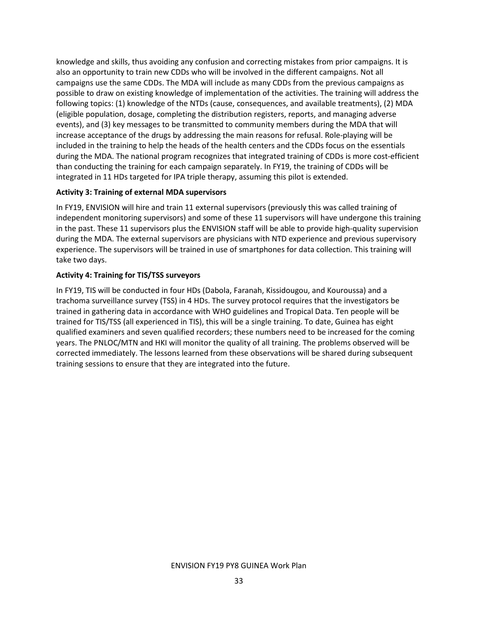knowledge and skills, thus avoiding any confusion and correcting mistakes from prior campaigns. It is also an opportunity to train new CDDs who will be involved in the different campaigns. Not all campaigns use the same CDDs. The MDA will include as many CDDs from the previous campaigns as possible to draw on existing knowledge of implementation of the activities. The training will address the following topics: (1) knowledge of the NTDs (cause, consequences, and available treatments), (2) MDA (eligible population, dosage, completing the distribution registers, reports, and managing adverse events), and (3) key messages to be transmitted to community members during the MDA that will increase acceptance of the drugs by addressing the main reasons for refusal. Role-playing will be included in the training to help the heads of the health centers and the CDDs focus on the essentials during the MDA. The national program recognizes that integrated training of CDDs is more cost-efficient than conducting the training for each campaign separately. In FY19, the training of CDDs will be integrated in 11 HDs targeted for IPA triple therapy, assuming this pilot is extended.

#### Activity 3: Training of external MDA supervisors

In FY19, ENVISION will hire and train 11 external supervisors (previously this was called training of independent monitoring supervisors) and some of these 11 supervisors will have undergone this training in the past. These 11 supervisors plus the ENVISION staff will be able to provide high-quality supervision during the MDA. The external supervisors are physicians with NTD experience and previous supervisory experience. The supervisors will be trained in use of smartphones for data collection. This training will take two days.

#### Activity 4: Training for TIS/TSS surveyors

In FY19, TIS will be conducted in four HDs (Dabola, Faranah, Kissidougou, and Kouroussa) and a trachoma surveillance survey (TSS) in 4 HDs. The survey protocol requires that the investigators be trained in gathering data in accordance with WHO guidelines and Tropical Data. Ten people will be trained for TIS/TSS (all experienced in TIS), this will be a single training. To date, Guinea has eight qualified examiners and seven qualified recorders; these numbers need to be increased for the coming years. The PNLOC/MTN and HKI will monitor the quality of all training. The problems observed will be corrected immediately. The lessons learned from these observations will be shared during subsequent training sessions to ensure that they are integrated into the future.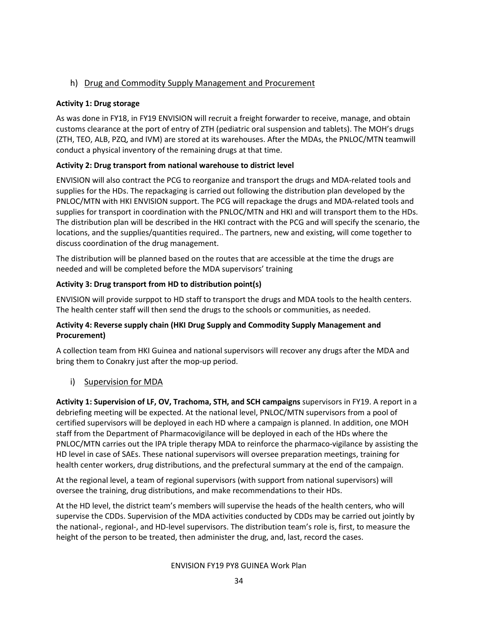#### h) Drug and Commodity Supply Management and Procurement

#### Activity 1: Drug storage

As was done in FY18, in FY19 ENVISION will recruit a freight forwarder to receive, manage, and obtain customs clearance at the port of entry of ZTH (pediatric oral suspension and tablets). The MOH's drugs (ZTH, TEO, ALB, PZQ, and IVM) are stored at its warehouses. After the MDAs, the PNLOC/MTN teamwill conduct a physical inventory of the remaining drugs at that time.

#### Activity 2: Drug transport from national warehouse to district level

ENVISION will also contract the PCG to reorganize and transport the drugs and MDA-related tools and supplies for the HDs. The repackaging is carried out following the distribution plan developed by the PNLOC/MTN with HKI ENVISION support. The PCG will repackage the drugs and MDA-related tools and supplies for transport in coordination with the PNLOC/MTN and HKI and will transport them to the HDs. The distribution plan will be described in the HKI contract with the PCG and will specify the scenario, the locations, and the supplies/quantities required.. The partners, new and existing, will come together to discuss coordination of the drug management.

The distribution will be planned based on the routes that are accessible at the time the drugs are needed and will be completed before the MDA supervisors' training

#### Activity 3: Drug transport from HD to distribution point(s)

ENVISION will provide surppot to HD staff to transport the drugs and MDA tools to the health centers. The health center staff will then send the drugs to the schools or communities, as needed.

#### Activity 4: Reverse supply chain (HKI Drug Supply and Commodity Supply Management and Procurement)

A collection team from HKI Guinea and national supervisors will recover any drugs after the MDA and bring them to Conakry just after the mop-up period.

#### i) Supervision for MDA

Activity 1: Supervision of LF, OV, Trachoma, STH, and SCH campaigns supervisors in FY19. A report in a debriefing meeting will be expected. At the national level, PNLOC/MTN supervisors from a pool of certified supervisors will be deployed in each HD where a campaign is planned. In addition, one MOH staff from the Department of Pharmacovigilance will be deployed in each of the HDs where the PNLOC/MTN carries out the IPA triple therapy MDA to reinforce the pharmaco-vigilance by assisting the HD level in case of SAEs. These national supervisors will oversee preparation meetings, training for health center workers, drug distributions, and the prefectural summary at the end of the campaign.

At the regional level, a team of regional supervisors (with support from national supervisors) will oversee the training, drug distributions, and make recommendations to their HDs.

At the HD level, the district team's members will supervise the heads of the health centers, who will supervise the CDDs. Supervision of the MDA activities conducted by CDDs may be carried out jointly by the national-, regional-, and HD-level supervisors. The distribution team's role is, first, to measure the height of the person to be treated, then administer the drug, and, last, record the cases.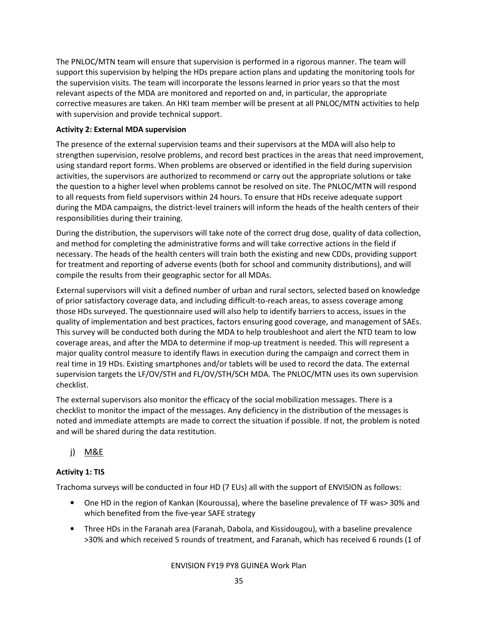The PNLOC/MTN team will ensure that supervision is performed in a rigorous manner. The team will support this supervision by helping the HDs prepare action plans and updating the monitoring tools for the supervision visits. The team will incorporate the lessons learned in prior years so that the most relevant aspects of the MDA are monitored and reported on and, in particular, the appropriate corrective measures are taken. An HKI team member will be present at all PNLOC/MTN activities to help with supervision and provide technical support.

#### Activity 2: External MDA supervision

The presence of the external supervision teams and their supervisors at the MDA will also help to strengthen supervision, resolve problems, and record best practices in the areas that need improvement, using standard report forms. When problems are observed or identified in the field during supervision activities, the supervisors are authorized to recommend or carry out the appropriate solutions or take the question to a higher level when problems cannot be resolved on site. The PNLOC/MTN will respond to all requests from field supervisors within 24 hours. To ensure that HDs receive adequate support during the MDA campaigns, the district-level trainers will inform the heads of the health centers of their responsibilities during their training.

During the distribution, the supervisors will take note of the correct drug dose, quality of data collection, and method for completing the administrative forms and will take corrective actions in the field if necessary. The heads of the health centers will train both the existing and new CDDs, providing support for treatment and reporting of adverse events (both for school and community distributions), and will compile the results from their geographic sector for all MDAs.

External supervisors will visit a defined number of urban and rural sectors, selected based on knowledge of prior satisfactory coverage data, and including difficult-to-reach areas, to assess coverage among those HDs surveyed. The questionnaire used will also help to identify barriers to access, issues in the quality of implementation and best practices, factors ensuring good coverage, and management of SAEs. This survey will be conducted both during the MDA to help troubleshoot and alert the NTD team to low coverage areas, and after the MDA to determine if mop-up treatment is needed. This will represent a major quality control measure to identify flaws in execution during the campaign and correct them in real time in 19 HDs. Existing smartphones and/or tablets will be used to record the data. The external supervision targets the LF/OV/STH and FL/OV/STH/SCH MDA. The PNLOC/MTN uses its own supervision checklist.

The external supervisors also monitor the efficacy of the social mobilization messages. There is a checklist to monitor the impact of the messages. Any deficiency in the distribution of the messages is noted and immediate attempts are made to correct the situation if possible. If not, the problem is noted and will be shared during the data restitution.

## j) M&E

#### Activity 1: TIS

Trachoma surveys will be conducted in four HD (7 EUs) all with the support of ENVISION as follows:

- One HD in the region of Kankan (Kouroussa), where the baseline prevalence of TF was> 30% and which benefited from the five-year SAFE strategy
- Three HDs in the Faranah area (Faranah, Dabola, and Kissidougou), with a baseline prevalence >30% and which received 5 rounds of treatment, and Faranah, which has received 6 rounds (1 of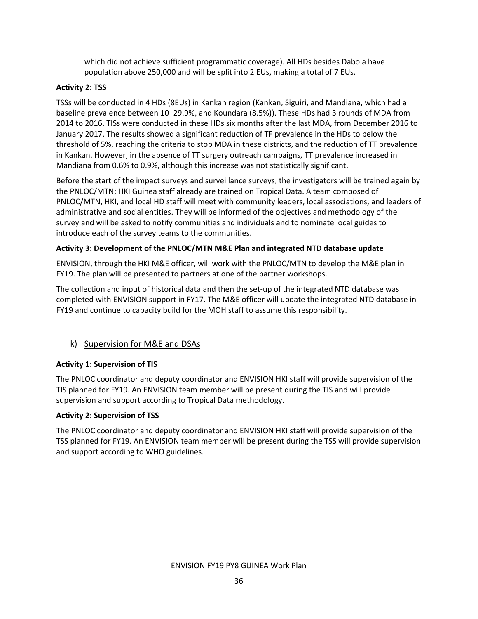which did not achieve sufficient programmatic coverage). All HDs besides Dabola have population above 250,000 and will be split into 2 EUs, making a total of 7 EUs.

#### Activity 2: TSS

TSSs will be conducted in 4 HDs (8EUs) in Kankan region (Kankan, Siguiri, and Mandiana, which had a baseline prevalence between 10–29.9%, and Koundara (8.5%)). These HDs had 3 rounds of MDA from 2014 to 2016. TISs were conducted in these HDs six months after the last MDA, from December 2016 to January 2017. The results showed a significant reduction of TF prevalence in the HDs to below the threshold of 5%, reaching the criteria to stop MDA in these districts, and the reduction of TT prevalence in Kankan. However, in the absence of TT surgery outreach campaigns, TT prevalence increased in Mandiana from 0.6% to 0.9%, although this increase was not statistically significant.

Before the start of the impact surveys and surveillance surveys, the investigators will be trained again by the PNLOC/MTN; HKI Guinea staff already are trained on Tropical Data. A team composed of PNLOC/MTN, HKI, and local HD staff will meet with community leaders, local associations, and leaders of administrative and social entities. They will be informed of the objectives and methodology of the survey and will be asked to notify communities and individuals and to nominate local guides to introduce each of the survey teams to the communities.

#### Activity 3: Development of the PNLOC/MTN M&E Plan and integrated NTD database update

ENVISION, through the HKI M&E officer, will work with the PNLOC/MTN to develop the M&E plan in FY19. The plan will be presented to partners at one of the partner workshops.

The collection and input of historical data and then the set-up of the integrated NTD database was completed with ENVISION support in FY17. The M&E officer will update the integrated NTD database in FY19 and continue to capacity build for the MOH staff to assume this responsibility.

#### k) Supervision for M&E and DSAs

#### Activity 1: Supervision of TIS

.

The PNLOC coordinator and deputy coordinator and ENVISION HKI staff will provide supervision of the TIS planned for FY19. An ENVISION team member will be present during the TIS and will provide supervision and support according to Tropical Data methodology.

#### Activity 2: Supervision of TSS

The PNLOC coordinator and deputy coordinator and ENVISION HKI staff will provide supervision of the TSS planned for FY19. An ENVISION team member will be present during the TSS will provide supervision and support according to WHO guidelines.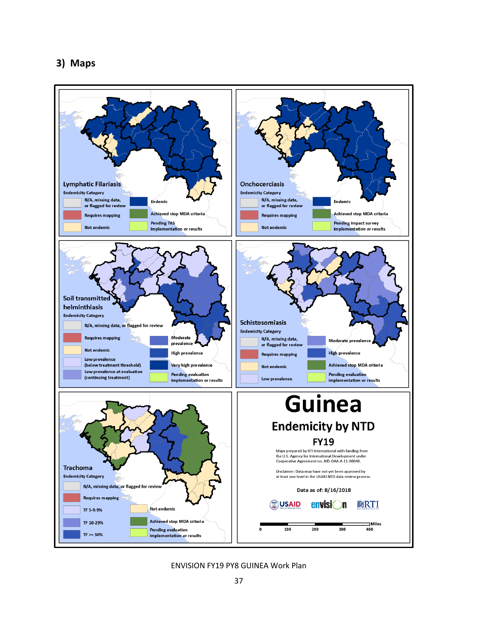## 3) Maps

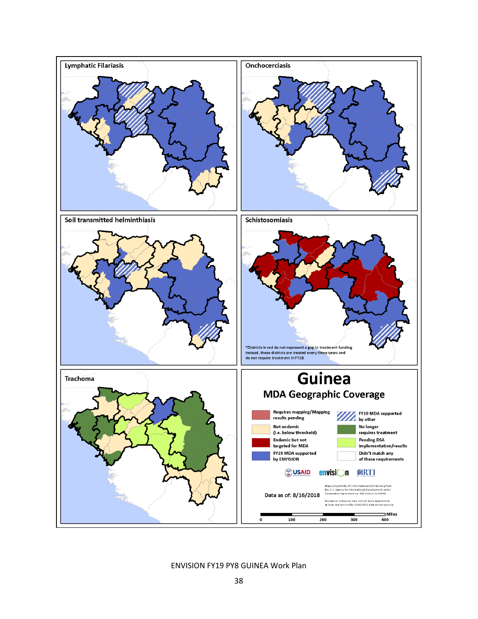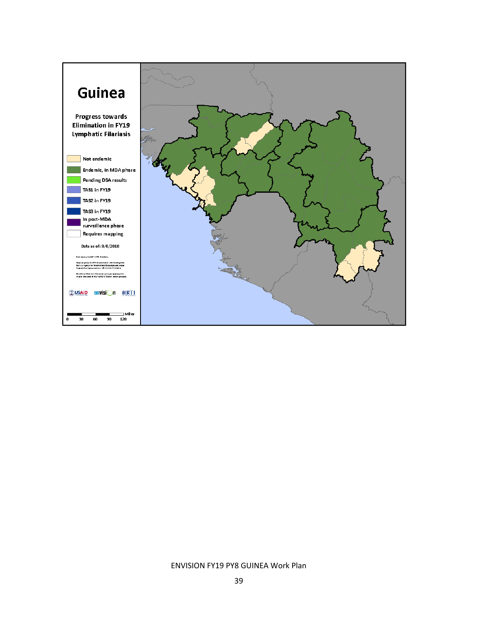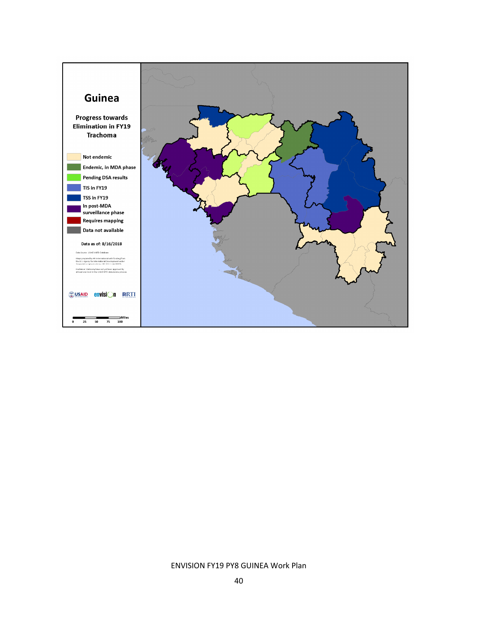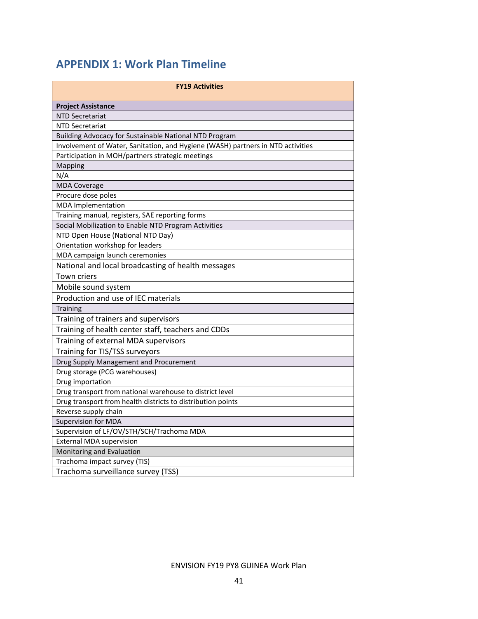## APPENDIX 1: Work Plan Timeline

| <b>FY19 Activities</b>                                                          |  |  |  |  |  |  |  |  |  |
|---------------------------------------------------------------------------------|--|--|--|--|--|--|--|--|--|
| <b>Project Assistance</b>                                                       |  |  |  |  |  |  |  |  |  |
| <b>NTD Secretariat</b>                                                          |  |  |  |  |  |  |  |  |  |
| <b>NTD Secretariat</b>                                                          |  |  |  |  |  |  |  |  |  |
| Building Advocacy for Sustainable National NTD Program                          |  |  |  |  |  |  |  |  |  |
| Involvement of Water, Sanitation, and Hygiene (WASH) partners in NTD activities |  |  |  |  |  |  |  |  |  |
| Participation in MOH/partners strategic meetings                                |  |  |  |  |  |  |  |  |  |
| Mapping                                                                         |  |  |  |  |  |  |  |  |  |
| N/A                                                                             |  |  |  |  |  |  |  |  |  |
| <b>MDA Coverage</b>                                                             |  |  |  |  |  |  |  |  |  |
| Procure dose poles                                                              |  |  |  |  |  |  |  |  |  |
| <b>MDA</b> Implementation                                                       |  |  |  |  |  |  |  |  |  |
| Training manual, registers, SAE reporting forms                                 |  |  |  |  |  |  |  |  |  |
| Social Mobilization to Enable NTD Program Activities                            |  |  |  |  |  |  |  |  |  |
| NTD Open House (National NTD Day)                                               |  |  |  |  |  |  |  |  |  |
| Orientation workshop for leaders                                                |  |  |  |  |  |  |  |  |  |
| MDA campaign launch ceremonies                                                  |  |  |  |  |  |  |  |  |  |
| National and local broadcasting of health messages                              |  |  |  |  |  |  |  |  |  |
| Town criers                                                                     |  |  |  |  |  |  |  |  |  |
| Mobile sound system                                                             |  |  |  |  |  |  |  |  |  |
| Production and use of IEC materials                                             |  |  |  |  |  |  |  |  |  |
| <b>Training</b>                                                                 |  |  |  |  |  |  |  |  |  |
| Training of trainers and supervisors                                            |  |  |  |  |  |  |  |  |  |
| Training of health center staff, teachers and CDDs                              |  |  |  |  |  |  |  |  |  |
| Training of external MDA supervisors                                            |  |  |  |  |  |  |  |  |  |
| Training for TIS/TSS surveyors                                                  |  |  |  |  |  |  |  |  |  |
| Drug Supply Management and Procurement                                          |  |  |  |  |  |  |  |  |  |
| Drug storage (PCG warehouses)                                                   |  |  |  |  |  |  |  |  |  |
| Drug importation                                                                |  |  |  |  |  |  |  |  |  |
| Drug transport from national warehouse to district level                        |  |  |  |  |  |  |  |  |  |
| Drug transport from health districts to distribution points                     |  |  |  |  |  |  |  |  |  |
| Reverse supply chain                                                            |  |  |  |  |  |  |  |  |  |
| <b>Supervision for MDA</b>                                                      |  |  |  |  |  |  |  |  |  |
| Supervision of LF/OV/STH/SCH/Trachoma MDA                                       |  |  |  |  |  |  |  |  |  |
| <b>External MDA supervision</b>                                                 |  |  |  |  |  |  |  |  |  |
| Monitoring and Evaluation                                                       |  |  |  |  |  |  |  |  |  |
| Trachoma impact survey (TIS)                                                    |  |  |  |  |  |  |  |  |  |
| Trachoma surveillance survey (TSS)                                              |  |  |  |  |  |  |  |  |  |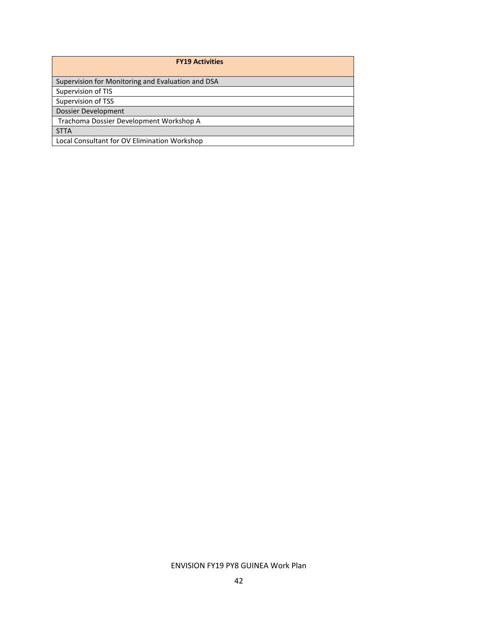| <b>FY19 Activities</b>                            |
|---------------------------------------------------|
| Supervision for Monitoring and Evaluation and DSA |
| Supervision of TIS                                |
| Supervision of TSS                                |
| Dossier Development                               |
| Trachoma Dossier Development Workshop A           |
| <b>STTA</b>                                       |
| Local Consultant for OV Elimination Workshop      |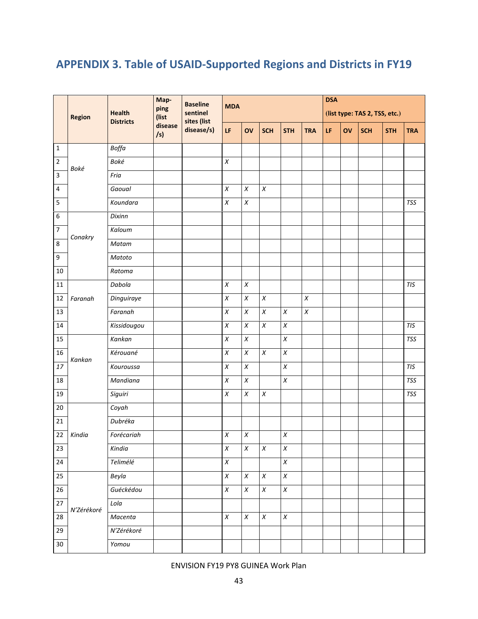## APPENDIX 3. Table of USAID-Supported Regions and Districts in FY19

|                         | <b>Region</b> | <b>Health</b><br><b>Districts</b> | Map-<br>ping<br>(list<br>disease<br>/s) | <b>Baseline</b><br>sentinel<br>sites (list<br>disease/s) | <b>MDA</b>       |                  |                  |            |            | <b>DSA</b><br>(list type: TAS 2, TSS, etc.) |    |            |            |            |
|-------------------------|---------------|-----------------------------------|-----------------------------------------|----------------------------------------------------------|------------------|------------------|------------------|------------|------------|---------------------------------------------|----|------------|------------|------------|
|                         |               |                                   |                                         |                                                          | LF.              | OV               | <b>SCH</b>       | <b>STH</b> | <b>TRA</b> | LF                                          | OV | <b>SCH</b> | <b>STH</b> | <b>TRA</b> |
| $\mathbf 1$             |               | Boffa                             |                                         |                                                          |                  |                  |                  |            |            |                                             |    |            |            |            |
| $\mathbf 2$             | Boké          | Boké                              |                                         |                                                          | $\boldsymbol{X}$ |                  |                  |            |            |                                             |    |            |            |            |
| $\overline{\mathbf{3}}$ |               | Fria                              |                                         |                                                          |                  |                  |                  |            |            |                                             |    |            |            |            |
| $\overline{\mathbf{4}}$ |               | Gaoual                            |                                         |                                                          | $\chi$           | $\chi$           | $\chi$           |            |            |                                             |    |            |            |            |
| 5                       |               | Koundara                          |                                         |                                                          | $\chi$           | $\chi$           |                  |            |            |                                             |    |            |            | <b>TSS</b> |
| $\,6\,$                 |               | Dixinn                            |                                         |                                                          |                  |                  |                  |            |            |                                             |    |            |            |            |
| $\boldsymbol{7}$        | Conakry       | Kaloum                            |                                         |                                                          |                  |                  |                  |            |            |                                             |    |            |            |            |
| $\,8\,$                 |               | Matam                             |                                         |                                                          |                  |                  |                  |            |            |                                             |    |            |            |            |
| $\boldsymbol{9}$        |               | Matoto                            |                                         |                                                          |                  |                  |                  |            |            |                                             |    |            |            |            |
| $10\,$                  |               | Ratoma                            |                                         |                                                          |                  |                  |                  |            |            |                                             |    |            |            |            |
| $11\,$                  |               | Dabola                            |                                         |                                                          | $\chi$           | $\boldsymbol{X}$ |                  |            |            |                                             |    |            |            | TIS        |
| 12                      | Faranah       | Dinguiraye                        |                                         |                                                          | $\chi$           | $\chi$           | $\chi$           |            | $\chi$     |                                             |    |            |            |            |
| 13                      |               | Faranah                           |                                         |                                                          | $\chi$           | $\chi$           | $\chi$           | $\chi$     | $\chi$     |                                             |    |            |            |            |
| 14                      |               | Kissidougou                       |                                         |                                                          | $\chi$           | $\chi$           | $\chi$           | $\chi$     |            |                                             |    |            |            | <b>TIS</b> |
| 15                      |               | Kankan                            |                                         |                                                          | $\chi$           | $\boldsymbol{X}$ |                  | $\chi$     |            |                                             |    |            |            | <b>TSS</b> |
| 16                      | Kankan        | Kérouané                          |                                         |                                                          | $\chi$           | $\boldsymbol{X}$ | $\pmb{X}$        | $\chi$     |            |                                             |    |            |            |            |
| 17                      |               | Kouroussa                         |                                         |                                                          | $\chi$           | $\chi$           |                  | $\chi$     |            |                                             |    |            |            | <b>TIS</b> |
| 18                      |               | Mandiana                          |                                         |                                                          | $\chi$           | $\boldsymbol{X}$ |                  | $\chi$     |            |                                             |    |            |            | <b>TSS</b> |
| 19                      |               | Siguiri                           |                                         |                                                          | $\boldsymbol{X}$ | $\chi$           | $\chi$           |            |            |                                             |    |            |            | <b>TSS</b> |
| 20                      |               | Coyah                             |                                         |                                                          |                  |                  |                  |            |            |                                             |    |            |            |            |
| 21                      |               | Dubréka                           |                                         |                                                          |                  |                  |                  |            |            |                                             |    |            |            |            |
| 22                      | Kindia        | Forécariah                        |                                         |                                                          | $\boldsymbol{X}$ | $\chi$           |                  | $\chi$     |            |                                             |    |            |            |            |
| 23                      |               | Kindia                            |                                         |                                                          | X                | $\boldsymbol{X}$ | X                | X          |            |                                             |    |            |            |            |
| $24\,$                  |               | Telimélé                          |                                         |                                                          | $\boldsymbol{X}$ |                  |                  | $\chi$     |            |                                             |    |            |            |            |
| 25                      |               | Beyla                             |                                         |                                                          | $\boldsymbol{X}$ | $\boldsymbol{X}$ | $\chi$           | $\chi$     |            |                                             |    |            |            |            |
| $26\,$                  | N'Zérékoré    | Guéckédou                         |                                         |                                                          | $\chi$           | $\chi$           | $\boldsymbol{X}$ | $\chi$     |            |                                             |    |            |            |            |
| $\overline{27}$         |               | Lola                              |                                         |                                                          |                  |                  |                  |            |            |                                             |    |            |            |            |
| 28                      |               | Macenta                           |                                         |                                                          | $\chi$           | $\chi$           | $\pmb{X}$        | $\pmb{X}$  |            |                                             |    |            |            |            |
| 29                      |               | N'Zérékoré                        |                                         |                                                          |                  |                  |                  |            |            |                                             |    |            |            |            |
| $30\,$                  |               | Yomou                             |                                         |                                                          |                  |                  |                  |            |            |                                             |    |            |            |            |